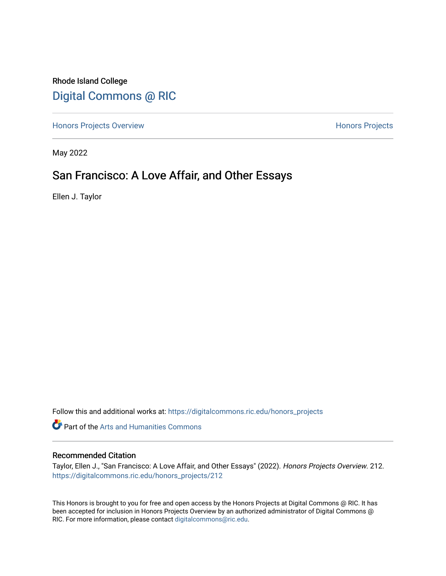Rhode Island College [Digital Commons @ RIC](https://digitalcommons.ric.edu/) 

[Honors Projects Overview](https://digitalcommons.ric.edu/honors_projects) **Honors Projects** 

May 2022

# San Francisco: A Love Affair, and Other Essays

Ellen J. Taylor

Follow this and additional works at: [https://digitalcommons.ric.edu/honors\\_projects](https://digitalcommons.ric.edu/honors_projects?utm_source=digitalcommons.ric.edu%2Fhonors_projects%2F212&utm_medium=PDF&utm_campaign=PDFCoverPages) 

**Part of the Arts and Humanities Commons** 

### Recommended Citation

Taylor, Ellen J., "San Francisco: A Love Affair, and Other Essays" (2022). Honors Projects Overview. 212. [https://digitalcommons.ric.edu/honors\\_projects/212](https://digitalcommons.ric.edu/honors_projects/212?utm_source=digitalcommons.ric.edu%2Fhonors_projects%2F212&utm_medium=PDF&utm_campaign=PDFCoverPages) 

This Honors is brought to you for free and open access by the Honors Projects at Digital Commons @ RIC. It has been accepted for inclusion in Honors Projects Overview by an authorized administrator of Digital Commons @ RIC. For more information, please contact [digitalcommons@ric.edu](mailto:digitalcommons@ric.edu).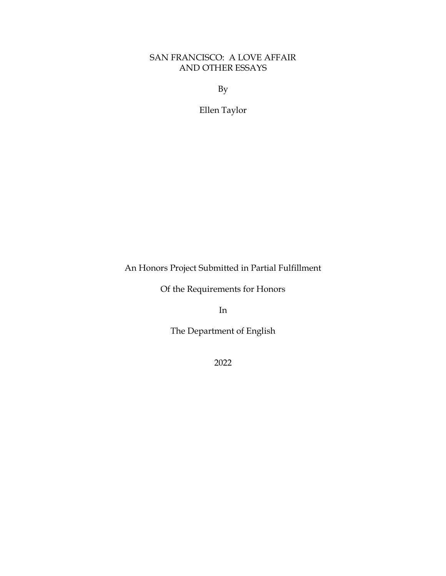## SAN FRANCISCO: A LOVE AFFAIR AND OTHER ESSAYS

By

Ellen Taylor

An Honors Project Submitted in Partial Fulfillment

Of the Requirements for Honors

In

The Department of English

2022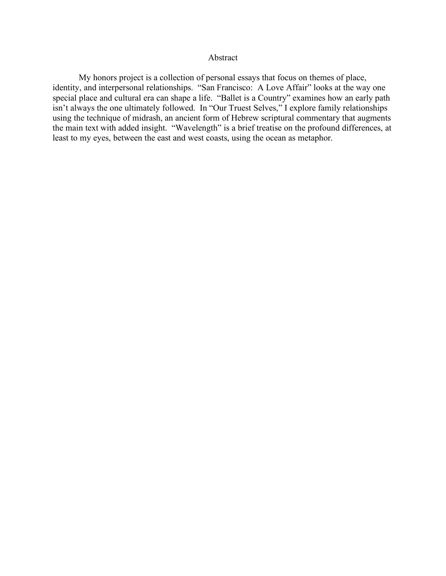## Abstract

My honors project is a collection of personal essays that focus on themes of place, identity, and interpersonal relationships. "San Francisco: A Love Affair" looks at the way one special place and cultural era can shape a life. "Ballet is a Country" examines how an early path isn't always the one ultimately followed. In "Our Truest Selves," I explore family relationships using the technique of midrash, an ancient form of Hebrew scriptural commentary that augments the main text with added insight. "Wavelength" is a brief treatise on the profound differences, at least to my eyes, between the east and west coasts, using the ocean as metaphor.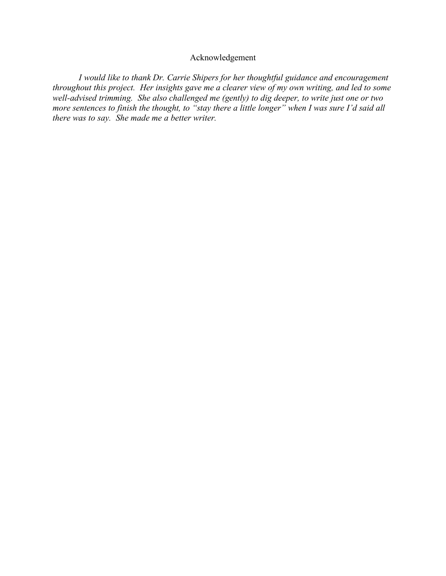## Acknowledgement

*I would like to thank Dr. Carrie Shipers for her thoughtful guidance and encouragement throughout this project. Her insights gave me a clearer view of my own writing, and led to some well-advised trimming. She also challenged me (gently) to dig deeper, to write just one or two more sentences to finish the thought, to "stay there a little longer" when I was sure I'd said all there was to say. She made me a better writer.*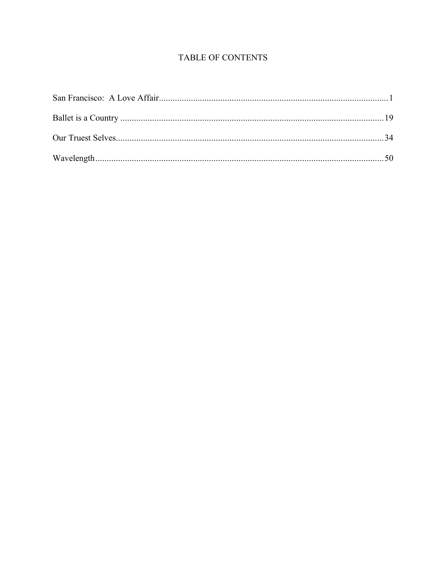# TABLE OF CONTENTS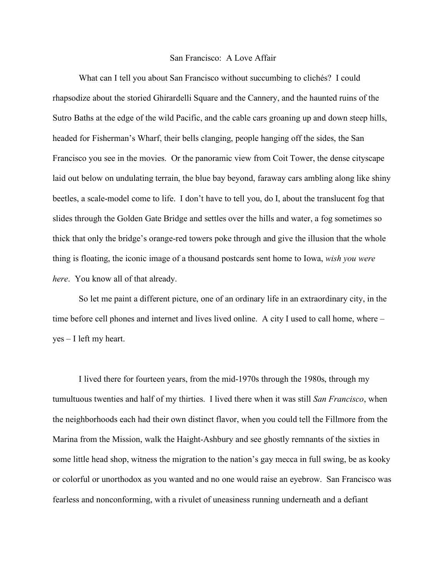### San Francisco: A Love Affair

What can I tell you about San Francisco without succumbing to clichés? I could rhapsodize about the storied Ghirardelli Square and the Cannery, and the haunted ruins of the Sutro Baths at the edge of the wild Pacific, and the cable cars groaning up and down steep hills, headed for Fisherman's Wharf, their bells clanging, people hanging off the sides, the San Francisco you see in the movies. Or the panoramic view from Coit Tower, the dense cityscape laid out below on undulating terrain, the blue bay beyond, faraway cars ambling along like shiny beetles, a scale-model come to life. I don't have to tell you, do I, about the translucent fog that slides through the Golden Gate Bridge and settles over the hills and water, a fog sometimes so thick that only the bridge's orange-red towers poke through and give the illusion that the whole thing is floating, the iconic image of a thousand postcards sent home to Iowa, *wish you were here*. You know all of that already.

So let me paint a different picture, one of an ordinary life in an extraordinary city, in the time before cell phones and internet and lives lived online. A city I used to call home, where – yes – I left my heart.

I lived there for fourteen years, from the mid-1970s through the 1980s, through my tumultuous twenties and half of my thirties. I lived there when it was still *San Francisco*, when the neighborhoods each had their own distinct flavor, when you could tell the Fillmore from the Marina from the Mission, walk the Haight-Ashbury and see ghostly remnants of the sixties in some little head shop, witness the migration to the nation's gay mecca in full swing, be as kooky or colorful or unorthodox as you wanted and no one would raise an eyebrow. San Francisco was fearless and nonconforming, with a rivulet of uneasiness running underneath and a defiant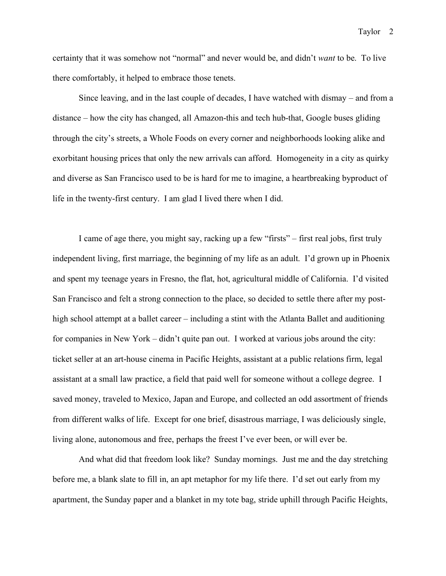certainty that it was somehow not "normal" and never would be, and didn't *want* to be. To live there comfortably, it helped to embrace those tenets.

Since leaving, and in the last couple of decades, I have watched with dismay – and from a distance – how the city has changed, all Amazon-this and tech hub-that, Google buses gliding through the city's streets, a Whole Foods on every corner and neighborhoods looking alike and exorbitant housing prices that only the new arrivals can afford. Homogeneity in a city as quirky and diverse as San Francisco used to be is hard for me to imagine, a heartbreaking byproduct of life in the twenty-first century. I am glad I lived there when I did.

I came of age there, you might say, racking up a few "firsts" – first real jobs, first truly independent living, first marriage, the beginning of my life as an adult. I'd grown up in Phoenix and spent my teenage years in Fresno, the flat, hot, agricultural middle of California. I'd visited San Francisco and felt a strong connection to the place, so decided to settle there after my posthigh school attempt at a ballet career – including a stint with the Atlanta Ballet and auditioning for companies in New York – didn't quite pan out. I worked at various jobs around the city: ticket seller at an art-house cinema in Pacific Heights, assistant at a public relations firm, legal assistant at a small law practice, a field that paid well for someone without a college degree. I saved money, traveled to Mexico, Japan and Europe, and collected an odd assortment of friends from different walks of life. Except for one brief, disastrous marriage, I was deliciously single, living alone, autonomous and free, perhaps the freest I've ever been, or will ever be.

And what did that freedom look like? Sunday mornings. Just me and the day stretching before me, a blank slate to fill in, an apt metaphor for my life there. I'd set out early from my apartment, the Sunday paper and a blanket in my tote bag, stride uphill through Pacific Heights,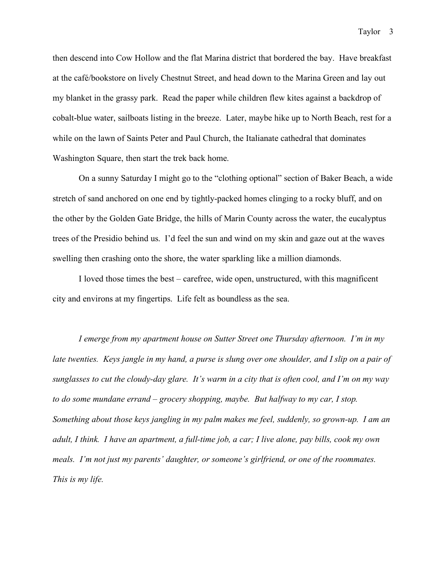then descend into Cow Hollow and the flat Marina district that bordered the bay. Have breakfast at the café/bookstore on lively Chestnut Street, and head down to the Marina Green and lay out my blanket in the grassy park. Read the paper while children flew kites against a backdrop of cobalt-blue water, sailboats listing in the breeze. Later, maybe hike up to North Beach, rest for a while on the lawn of Saints Peter and Paul Church, the Italianate cathedral that dominates Washington Square, then start the trek back home.

On a sunny Saturday I might go to the "clothing optional" section of Baker Beach, a wide stretch of sand anchored on one end by tightly-packed homes clinging to a rocky bluff, and on the other by the Golden Gate Bridge, the hills of Marin County across the water, the eucalyptus trees of the Presidio behind us. I'd feel the sun and wind on my skin and gaze out at the waves swelling then crashing onto the shore, the water sparkling like a million diamonds.

I loved those times the best – carefree, wide open, unstructured, with this magnificent city and environs at my fingertips. Life felt as boundless as the sea.

*I emerge from my apartment house on Sutter Street one Thursday afternoon. I'm in my*  late twenties. Keys jangle in my hand, a purse is slung over one shoulder, and I slip on a pair of *sunglasses to cut the cloudy-day glare. It's warm in a city that is often cool, and I'm on my way to do some mundane errand – grocery shopping, maybe. But halfway to my car, I stop. Something about those keys jangling in my palm makes me feel, suddenly, so grown-up. I am an adult, I think. I have an apartment, a full-time job, a car; I live alone, pay bills, cook my own meals. I'm not just my parents' daughter, or someone's girlfriend, or one of the roommates. This is my life.*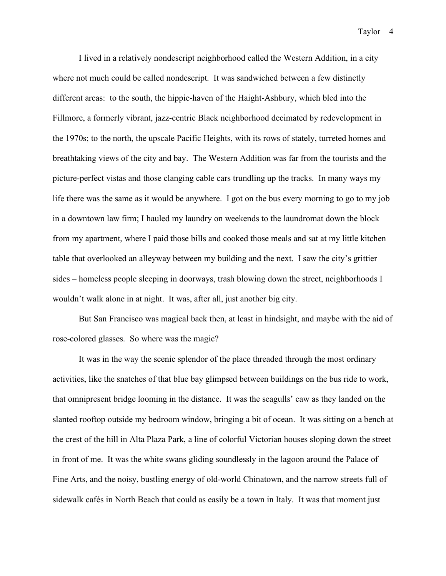I lived in a relatively nondescript neighborhood called the Western Addition, in a city where not much could be called nondescript. It was sandwiched between a few distinctly different areas: to the south, the hippie-haven of the Haight-Ashbury, which bled into the Fillmore, a formerly vibrant, jazz-centric Black neighborhood decimated by redevelopment in the 1970s; to the north, the upscale Pacific Heights, with its rows of stately, turreted homes and breathtaking views of the city and bay. The Western Addition was far from the tourists and the picture-perfect vistas and those clanging cable cars trundling up the tracks. In many ways my life there was the same as it would be anywhere. I got on the bus every morning to go to my job in a downtown law firm; I hauled my laundry on weekends to the laundromat down the block from my apartment, where I paid those bills and cooked those meals and sat at my little kitchen table that overlooked an alleyway between my building and the next. I saw the city's grittier sides – homeless people sleeping in doorways, trash blowing down the street, neighborhoods I wouldn't walk alone in at night. It was, after all, just another big city.

But San Francisco was magical back then, at least in hindsight, and maybe with the aid of rose-colored glasses. So where was the magic?

It was in the way the scenic splendor of the place threaded through the most ordinary activities, like the snatches of that blue bay glimpsed between buildings on the bus ride to work, that omnipresent bridge looming in the distance. It was the seagulls' caw as they landed on the slanted rooftop outside my bedroom window, bringing a bit of ocean. It was sitting on a bench at the crest of the hill in Alta Plaza Park, a line of colorful Victorian houses sloping down the street in front of me. It was the white swans gliding soundlessly in the lagoon around the Palace of Fine Arts, and the noisy, bustling energy of old-world Chinatown, and the narrow streets full of sidewalk cafés in North Beach that could as easily be a town in Italy. It was that moment just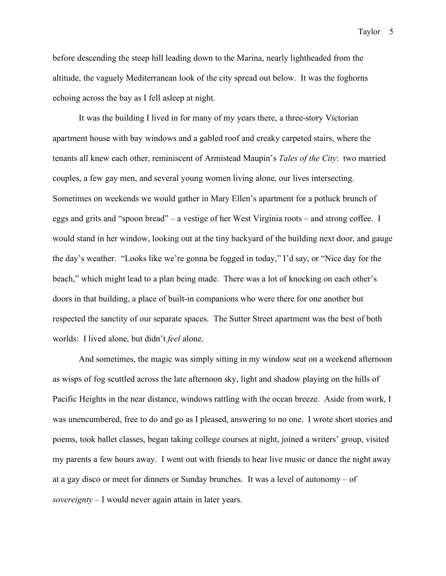before descending the steep hill leading down to the Marina, nearly lightheaded from the altitude, the vaguely Mediterranean look of the city spread out below. It was the foghorns echoing across the bay as I fell asleep at night.

It was the building I lived in for many of my years there, a three-story Victorian apartment house with bay windows and a gabled roof and creaky carpeted stairs, where the tenants all knew each other, reminiscent of Armistead Maupin's *Tales of the City*: two married couples, a few gay men, and several young women living alone, our lives intersecting. Sometimes on weekends we would gather in Mary Ellen's apartment for a potluck brunch of eggs and grits and "spoon bread" – a vestige of her West Virginia roots – and strong coffee. I would stand in her window, looking out at the tiny backyard of the building next door, and gauge the day's weather. "Looks like we're gonna be fogged in today," I'd say, or "Nice day for the beach," which might lead to a plan being made. There was a lot of knocking on each other's doors in that building, a place of built-in companions who were there for one another but respected the sanctity of our separate spaces. The Sutter Street apartment was the best of both worlds: I lived alone, but didn't *feel* alone.

And sometimes, the magic was simply sitting in my window seat on a weekend afternoon as wisps of fog scuttled across the late afternoon sky, light and shadow playing on the hills of Pacific Heights in the near distance, windows rattling with the ocean breeze. Aside from work, I was unencumbered, free to do and go as I pleased, answering to no one. I wrote short stories and poems, took ballet classes, began taking college courses at night, joined a writers' group, visited my parents a few hours away. I went out with friends to hear live music or dance the night away at a gay disco or meet for dinners or Sunday brunches. It was a level of autonomy – of *sovereignty* – I would never again attain in later years.

Taylor 5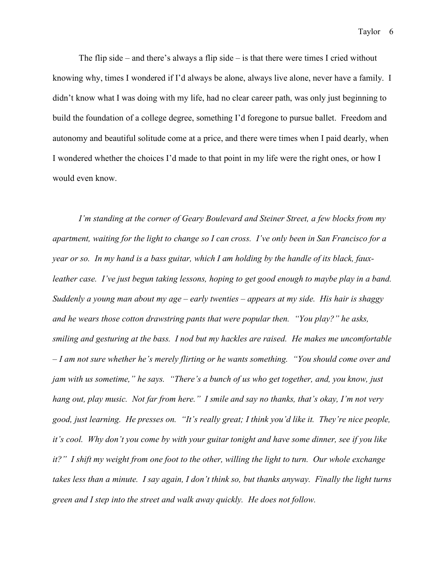The flip side – and there's always a flip side – is that there were times I cried without knowing why, times I wondered if I'd always be alone, always live alone, never have a family. I didn't know what I was doing with my life, had no clear career path, was only just beginning to build the foundation of a college degree, something I'd foregone to pursue ballet. Freedom and autonomy and beautiful solitude come at a price, and there were times when I paid dearly, when I wondered whether the choices I'd made to that point in my life were the right ones, or how I would even know.

*I'm standing at the corner of Geary Boulevard and Steiner Street, a few blocks from my apartment, waiting for the light to change so I can cross. I've only been in San Francisco for a year or so. In my hand is a bass guitar, which I am holding by the handle of its black, fauxleather case. I've just begun taking lessons, hoping to get good enough to maybe play in a band. Suddenly a young man about my age – early twenties – appears at my side. His hair is shaggy and he wears those cotton drawstring pants that were popular then. "You play?" he asks, smiling and gesturing at the bass. I nod but my hackles are raised. He makes me uncomfortable – I am not sure whether he's merely flirting or he wants something. "You should come over and jam with us sometime," he says. "There's a bunch of us who get together, and, you know, just hang out, play music. Not far from here." I smile and say no thanks, that's okay, I'm not very good, just learning. He presses on. "It's really great; I think you'd like it. They're nice people, it's cool. Why don't you come by with your guitar tonight and have some dinner, see if you like it?" I shift my weight from one foot to the other, willing the light to turn. Our whole exchange takes less than a minute. I say again, I don't think so, but thanks anyway. Finally the light turns green and I step into the street and walk away quickly. He does not follow.*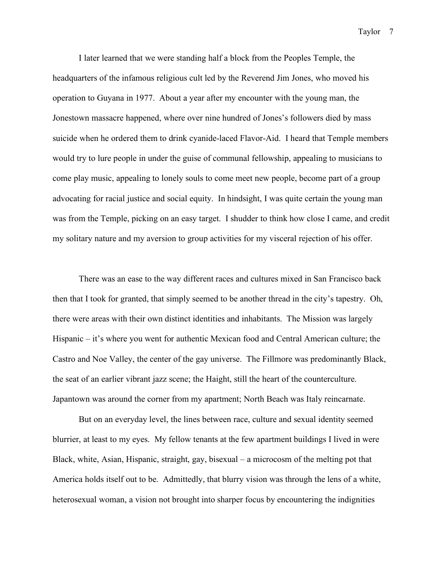I later learned that we were standing half a block from the Peoples Temple, the headquarters of the infamous religious cult led by the Reverend Jim Jones, who moved his operation to Guyana in 1977. About a year after my encounter with the young man, the Jonestown massacre happened, where over nine hundred of Jones's followers died by mass suicide when he ordered them to drink cyanide-laced Flavor-Aid. I heard that Temple members would try to lure people in under the guise of communal fellowship, appealing to musicians to come play music, appealing to lonely souls to come meet new people, become part of a group advocating for racial justice and social equity. In hindsight, I was quite certain the young man was from the Temple, picking on an easy target. I shudder to think how close I came, and credit my solitary nature and my aversion to group activities for my visceral rejection of his offer.

There was an ease to the way different races and cultures mixed in San Francisco back then that I took for granted, that simply seemed to be another thread in the city's tapestry. Oh, there were areas with their own distinct identities and inhabitants. The Mission was largely Hispanic – it's where you went for authentic Mexican food and Central American culture; the Castro and Noe Valley, the center of the gay universe. The Fillmore was predominantly Black, the seat of an earlier vibrant jazz scene; the Haight, still the heart of the counterculture. Japantown was around the corner from my apartment; North Beach was Italy reincarnate.

But on an everyday level, the lines between race, culture and sexual identity seemed blurrier, at least to my eyes. My fellow tenants at the few apartment buildings I lived in were Black, white, Asian, Hispanic, straight, gay, bisexual – a microcosm of the melting pot that America holds itself out to be. Admittedly, that blurry vision was through the lens of a white, heterosexual woman, a vision not brought into sharper focus by encountering the indignities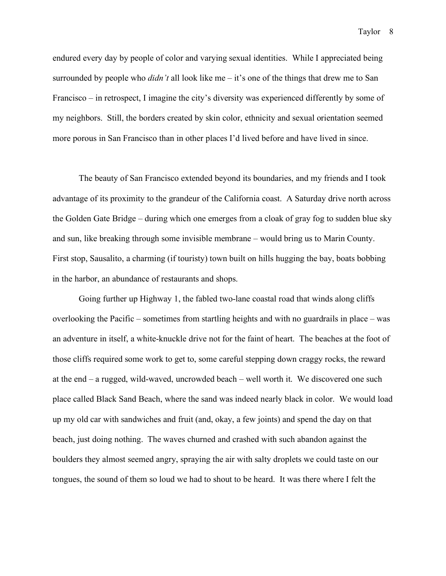endured every day by people of color and varying sexual identities. While I appreciated being surrounded by people who *didn't* all look like me – it's one of the things that drew me to San Francisco – in retrospect, I imagine the city's diversity was experienced differently by some of my neighbors. Still, the borders created by skin color, ethnicity and sexual orientation seemed more porous in San Francisco than in other places I'd lived before and have lived in since.

The beauty of San Francisco extended beyond its boundaries, and my friends and I took advantage of its proximity to the grandeur of the California coast. A Saturday drive north across the Golden Gate Bridge – during which one emerges from a cloak of gray fog to sudden blue sky and sun, like breaking through some invisible membrane – would bring us to Marin County. First stop, Sausalito, a charming (if touristy) town built on hills hugging the bay, boats bobbing in the harbor, an abundance of restaurants and shops.

Going further up Highway 1, the fabled two-lane coastal road that winds along cliffs overlooking the Pacific – sometimes from startling heights and with no guardrails in place – was an adventure in itself, a white-knuckle drive not for the faint of heart. The beaches at the foot of those cliffs required some work to get to, some careful stepping down craggy rocks, the reward at the end – a rugged, wild-waved, uncrowded beach – well worth it. We discovered one such place called Black Sand Beach, where the sand was indeed nearly black in color. We would load up my old car with sandwiches and fruit (and, okay, a few joints) and spend the day on that beach, just doing nothing. The waves churned and crashed with such abandon against the boulders they almost seemed angry, spraying the air with salty droplets we could taste on our tongues, the sound of them so loud we had to shout to be heard. It was there where I felt the

Taylor 8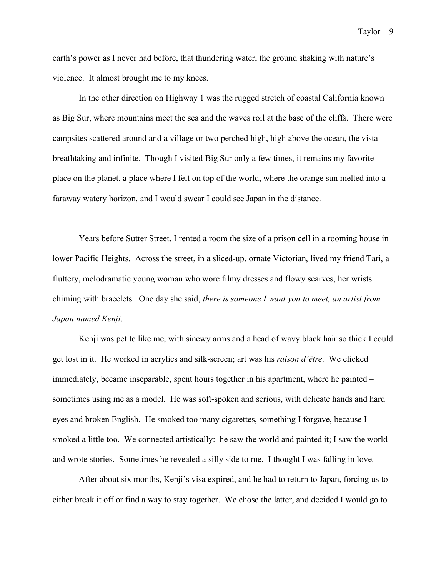earth's power as I never had before, that thundering water, the ground shaking with nature's violence. It almost brought me to my knees.

In the other direction on Highway 1 was the rugged stretch of coastal California known as Big Sur, where mountains meet the sea and the waves roil at the base of the cliffs. There were campsites scattered around and a village or two perched high, high above the ocean, the vista breathtaking and infinite. Though I visited Big Sur only a few times, it remains my favorite place on the planet, a place where I felt on top of the world, where the orange sun melted into a faraway watery horizon, and I would swear I could see Japan in the distance.

Years before Sutter Street, I rented a room the size of a prison cell in a rooming house in lower Pacific Heights. Across the street, in a sliced-up, ornate Victorian, lived my friend Tari, a fluttery, melodramatic young woman who wore filmy dresses and flowy scarves, her wrists chiming with bracelets. One day she said, *there is someone I want you to meet, an artist from Japan named Kenji*.

Kenji was petite like me, with sinewy arms and a head of wavy black hair so thick I could get lost in it. He worked in acrylics and silk-screen; art was his *raison d'être*. We clicked immediately, became inseparable, spent hours together in his apartment, where he painted – sometimes using me as a model. He was soft-spoken and serious, with delicate hands and hard eyes and broken English. He smoked too many cigarettes, something I forgave, because I smoked a little too. We connected artistically: he saw the world and painted it; I saw the world and wrote stories. Sometimes he revealed a silly side to me. I thought I was falling in love.

After about six months, Kenji's visa expired, and he had to return to Japan, forcing us to either break it off or find a way to stay together. We chose the latter, and decided I would go to

Taylor<sub>9</sub>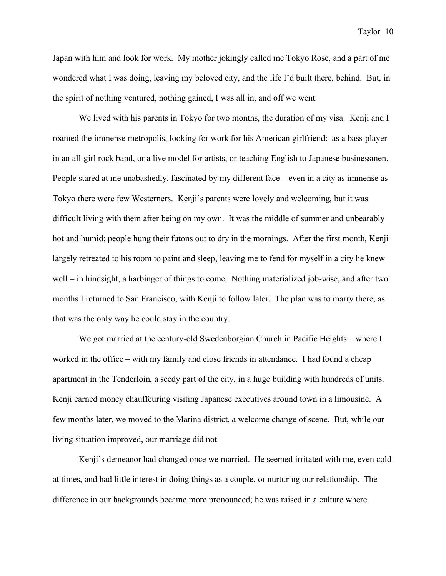Japan with him and look for work. My mother jokingly called me Tokyo Rose, and a part of me wondered what I was doing, leaving my beloved city, and the life I'd built there, behind. But, in the spirit of nothing ventured, nothing gained, I was all in, and off we went.

We lived with his parents in Tokyo for two months, the duration of my visa. Kenji and I roamed the immense metropolis, looking for work for his American girlfriend: as a bass-player in an all-girl rock band, or a live model for artists, or teaching English to Japanese businessmen. People stared at me unabashedly, fascinated by my different face – even in a city as immense as Tokyo there were few Westerners. Kenji's parents were lovely and welcoming, but it was difficult living with them after being on my own. It was the middle of summer and unbearably hot and humid; people hung their futons out to dry in the mornings. After the first month, Kenji largely retreated to his room to paint and sleep, leaving me to fend for myself in a city he knew well – in hindsight, a harbinger of things to come. Nothing materialized job-wise, and after two months I returned to San Francisco, with Kenji to follow later. The plan was to marry there, as that was the only way he could stay in the country.

We got married at the century-old Swedenborgian Church in Pacific Heights – where I worked in the office – with my family and close friends in attendance. I had found a cheap apartment in the Tenderloin, a seedy part of the city, in a huge building with hundreds of units. Kenji earned money chauffeuring visiting Japanese executives around town in a limousine. A few months later, we moved to the Marina district, a welcome change of scene. But, while our living situation improved, our marriage did not.

Kenji's demeanor had changed once we married. He seemed irritated with me, even cold at times, and had little interest in doing things as a couple, or nurturing our relationship. The difference in our backgrounds became more pronounced; he was raised in a culture where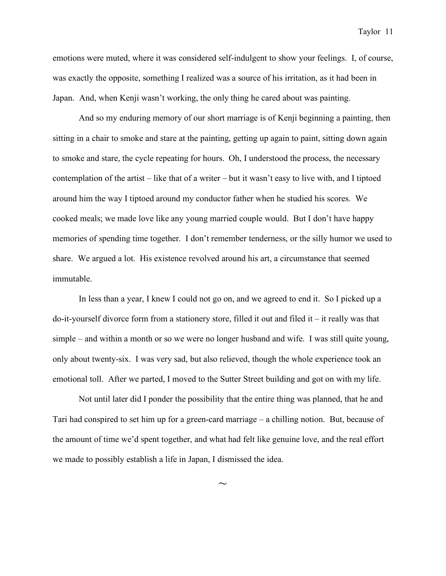emotions were muted, where it was considered self-indulgent to show your feelings. I, of course, was exactly the opposite, something I realized was a source of his irritation, as it had been in Japan. And, when Kenji wasn't working, the only thing he cared about was painting.

And so my enduring memory of our short marriage is of Kenji beginning a painting, then sitting in a chair to smoke and stare at the painting, getting up again to paint, sitting down again to smoke and stare, the cycle repeating for hours. Oh, I understood the process, the necessary contemplation of the artist – like that of a writer – but it wasn't easy to live with, and I tiptoed around him the way I tiptoed around my conductor father when he studied his scores. We cooked meals; we made love like any young married couple would. But I don't have happy memories of spending time together. I don't remember tenderness, or the silly humor we used to share. We argued a lot. His existence revolved around his art, a circumstance that seemed immutable.

In less than a year, I knew I could not go on, and we agreed to end it. So I picked up a  $\phi$ -it-yourself divorce form from a stationery store, filled it out and filed it – it really was that simple – and within a month or so we were no longer husband and wife. I was still quite young, only about twenty-six. I was very sad, but also relieved, though the whole experience took an emotional toll. After we parted, I moved to the Sutter Street building and got on with my life.

Not until later did I ponder the possibility that the entire thing was planned, that he and Tari had conspired to set him up for a green-card marriage – a chilling notion. But, because of the amount of time we'd spent together, and what had felt like genuine love, and the real effort we made to possibly establish a life in Japan, I dismissed the idea.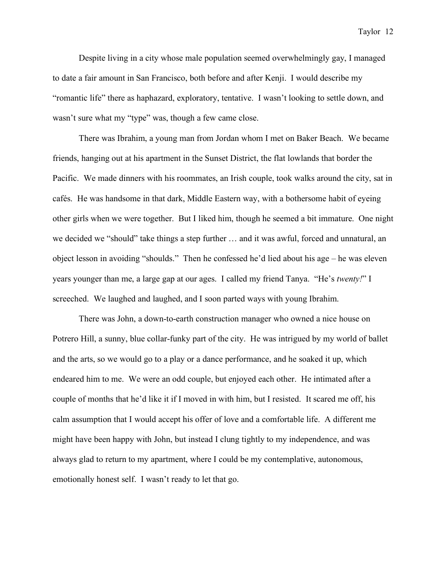Despite living in a city whose male population seemed overwhelmingly gay, I managed to date a fair amount in San Francisco, both before and after Kenji. I would describe my "romantic life" there as haphazard, exploratory, tentative. I wasn't looking to settle down, and wasn't sure what my "type" was, though a few came close.

There was Ibrahim, a young man from Jordan whom I met on Baker Beach. We became friends, hanging out at his apartment in the Sunset District, the flat lowlands that border the Pacific. We made dinners with his roommates, an Irish couple, took walks around the city, sat in cafés. He was handsome in that dark, Middle Eastern way, with a bothersome habit of eyeing other girls when we were together. But I liked him, though he seemed a bit immature. One night we decided we "should" take things a step further … and it was awful, forced and unnatural, an object lesson in avoiding "shoulds." Then he confessed he'd lied about his age – he was eleven years younger than me, a large gap at our ages. I called my friend Tanya. "He's *twenty!*" I screeched. We laughed and laughed, and I soon parted ways with young Ibrahim.

There was John, a down-to-earth construction manager who owned a nice house on Potrero Hill, a sunny, blue collar-funky part of the city. He was intrigued by my world of ballet and the arts, so we would go to a play or a dance performance, and he soaked it up, which endeared him to me. We were an odd couple, but enjoyed each other. He intimated after a couple of months that he'd like it if I moved in with him, but I resisted. It scared me off, his calm assumption that I would accept his offer of love and a comfortable life. A different me might have been happy with John, but instead I clung tightly to my independence, and was always glad to return to my apartment, where I could be my contemplative, autonomous, emotionally honest self. I wasn't ready to let that go.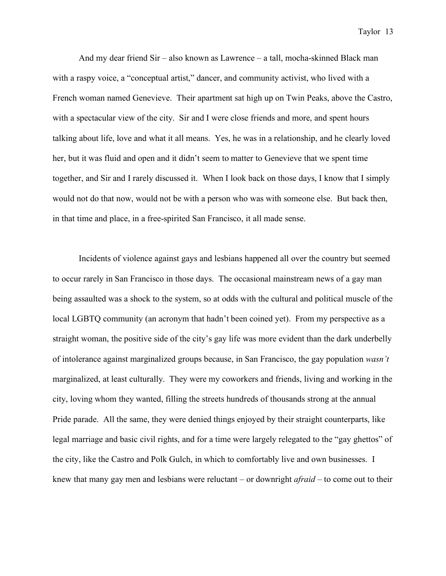And my dear friend Sir – also known as Lawrence – a tall, mocha-skinned Black man with a raspy voice, a "conceptual artist," dancer, and community activist, who lived with a French woman named Genevieve. Their apartment sat high up on Twin Peaks, above the Castro, with a spectacular view of the city. Sir and I were close friends and more, and spent hours talking about life, love and what it all means. Yes, he was in a relationship, and he clearly loved her, but it was fluid and open and it didn't seem to matter to Genevieve that we spent time together, and Sir and I rarely discussed it. When I look back on those days, I know that I simply would not do that now, would not be with a person who was with someone else. But back then, in that time and place, in a free-spirited San Francisco, it all made sense.

Incidents of violence against gays and lesbians happened all over the country but seemed to occur rarely in San Francisco in those days. The occasional mainstream news of a gay man being assaulted was a shock to the system, so at odds with the cultural and political muscle of the local LGBTQ community (an acronym that hadn't been coined yet). From my perspective as a straight woman, the positive side of the city's gay life was more evident than the dark underbelly of intolerance against marginalized groups because, in San Francisco, the gay population *wasn't* marginalized, at least culturally. They were my coworkers and friends, living and working in the city, loving whom they wanted, filling the streets hundreds of thousands strong at the annual Pride parade. All the same, they were denied things enjoyed by their straight counterparts, like legal marriage and basic civil rights, and for a time were largely relegated to the "gay ghettos" of the city, like the Castro and Polk Gulch, in which to comfortably live and own businesses. I knew that many gay men and lesbians were reluctant – or downright *afraid* – to come out to their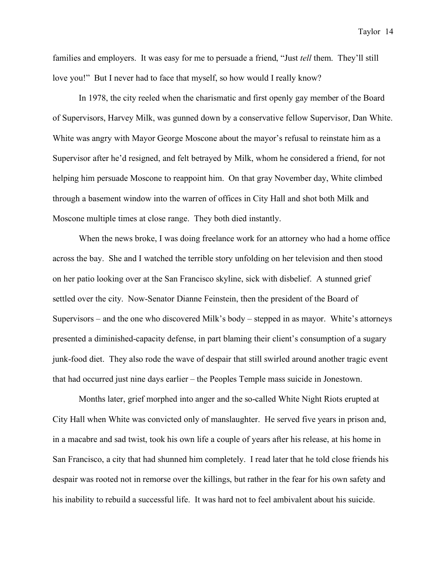families and employers. It was easy for me to persuade a friend, "Just *tell* them. They'll still love you!" But I never had to face that myself, so how would I really know?

In 1978, the city reeled when the charismatic and first openly gay member of the Board of Supervisors, Harvey Milk, was gunned down by a conservative fellow Supervisor, Dan White. White was angry with Mayor George Moscone about the mayor's refusal to reinstate him as a Supervisor after he'd resigned, and felt betrayed by Milk, whom he considered a friend, for not helping him persuade Moscone to reappoint him. On that gray November day, White climbed through a basement window into the warren of offices in City Hall and shot both Milk and Moscone multiple times at close range. They both died instantly.

When the news broke, I was doing freelance work for an attorney who had a home office across the bay. She and I watched the terrible story unfolding on her television and then stood on her patio looking over at the San Francisco skyline, sick with disbelief. A stunned grief settled over the city. Now-Senator Dianne Feinstein, then the president of the Board of Supervisors – and the one who discovered Milk's body – stepped in as mayor. White's attorneys presented a diminished-capacity defense, in part blaming their client's consumption of a sugary junk-food diet. They also rode the wave of despair that still swirled around another tragic event that had occurred just nine days earlier – the Peoples Temple mass suicide in Jonestown.

Months later, grief morphed into anger and the so-called White Night Riots erupted at City Hall when White was convicted only of manslaughter. He served five years in prison and, in a macabre and sad twist, took his own life a couple of years after his release, at his home in San Francisco, a city that had shunned him completely. I read later that he told close friends his despair was rooted not in remorse over the killings, but rather in the fear for his own safety and his inability to rebuild a successful life. It was hard not to feel ambivalent about his suicide.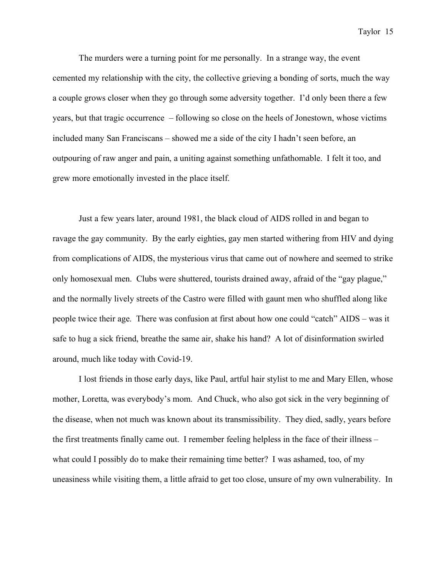The murders were a turning point for me personally. In a strange way, the event cemented my relationship with the city, the collective grieving a bonding of sorts, much the way a couple grows closer when they go through some adversity together. I'd only been there a few years, but that tragic occurrence – following so close on the heels of Jonestown, whose victims included many San Franciscans – showed me a side of the city I hadn't seen before, an outpouring of raw anger and pain, a uniting against something unfathomable. I felt it too, and grew more emotionally invested in the place itself.

Just a few years later, around 1981, the black cloud of AIDS rolled in and began to ravage the gay community. By the early eighties, gay men started withering from HIV and dying from complications of AIDS, the mysterious virus that came out of nowhere and seemed to strike only homosexual men. Clubs were shuttered, tourists drained away, afraid of the "gay plague," and the normally lively streets of the Castro were filled with gaunt men who shuffled along like people twice their age. There was confusion at first about how one could "catch" AIDS – was it safe to hug a sick friend, breathe the same air, shake his hand? A lot of disinformation swirled around, much like today with Covid-19.

I lost friends in those early days, like Paul, artful hair stylist to me and Mary Ellen, whose mother, Loretta, was everybody's mom. And Chuck, who also got sick in the very beginning of the disease, when not much was known about its transmissibility. They died, sadly, years before the first treatments finally came out. I remember feeling helpless in the face of their illness – what could I possibly do to make their remaining time better? I was ashamed, too, of my uneasiness while visiting them, a little afraid to get too close, unsure of my own vulnerability. In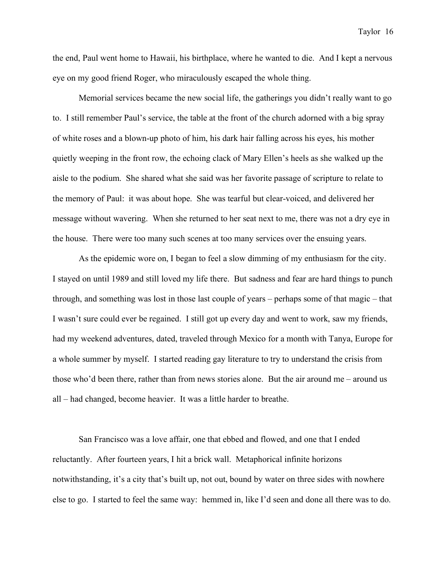the end, Paul went home to Hawaii, his birthplace, where he wanted to die. And I kept a nervous eye on my good friend Roger, who miraculously escaped the whole thing.

Memorial services became the new social life, the gatherings you didn't really want to go to. I still remember Paul's service, the table at the front of the church adorned with a big spray of white roses and a blown-up photo of him, his dark hair falling across his eyes, his mother quietly weeping in the front row, the echoing clack of Mary Ellen's heels as she walked up the aisle to the podium. She shared what she said was her favorite passage of scripture to relate to the memory of Paul: it was about hope. She was tearful but clear-voiced, and delivered her message without wavering. When she returned to her seat next to me, there was not a dry eye in the house. There were too many such scenes at too many services over the ensuing years.

As the epidemic wore on, I began to feel a slow dimming of my enthusiasm for the city. I stayed on until 1989 and still loved my life there. But sadness and fear are hard things to punch through, and something was lost in those last couple of years – perhaps some of that magic – that I wasn't sure could ever be regained. I still got up every day and went to work, saw my friends, had my weekend adventures, dated, traveled through Mexico for a month with Tanya, Europe for a whole summer by myself. I started reading gay literature to try to understand the crisis from those who'd been there, rather than from news stories alone. But the air around me – around us all – had changed, become heavier. It was a little harder to breathe.

San Francisco was a love affair, one that ebbed and flowed, and one that I ended reluctantly. After fourteen years, I hit a brick wall. Metaphorical infinite horizons notwithstanding, it's a city that's built up, not out, bound by water on three sides with nowhere else to go. I started to feel the same way: hemmed in, like I'd seen and done all there was to do.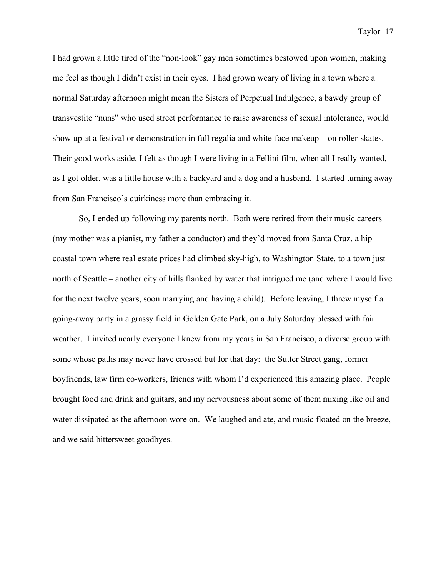I had grown a little tired of the "non-look" gay men sometimes bestowed upon women, making me feel as though I didn't exist in their eyes. I had grown weary of living in a town where a normal Saturday afternoon might mean the Sisters of Perpetual Indulgence, a bawdy group of transvestite "nuns" who used street performance to raise awareness of sexual intolerance, would show up at a festival or demonstration in full regalia and white-face makeup – on roller-skates. Their good works aside, I felt as though I were living in a Fellini film, when all I really wanted, as I got older, was a little house with a backyard and a dog and a husband. I started turning away from San Francisco's quirkiness more than embracing it.

So, I ended up following my parents north. Both were retired from their music careers (my mother was a pianist, my father a conductor) and they'd moved from Santa Cruz, a hip coastal town where real estate prices had climbed sky-high, to Washington State, to a town just north of Seattle – another city of hills flanked by water that intrigued me (and where I would live for the next twelve years, soon marrying and having a child). Before leaving, I threw myself a going-away party in a grassy field in Golden Gate Park, on a July Saturday blessed with fair weather. I invited nearly everyone I knew from my years in San Francisco, a diverse group with some whose paths may never have crossed but for that day: the Sutter Street gang, former boyfriends, law firm co-workers, friends with whom I'd experienced this amazing place. People brought food and drink and guitars, and my nervousness about some of them mixing like oil and water dissipated as the afternoon wore on. We laughed and ate, and music floated on the breeze, and we said bittersweet goodbyes.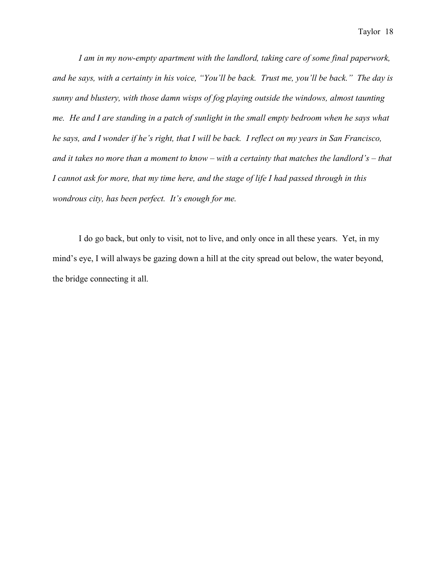*I am in my now-empty apartment with the landlord, taking care of some final paperwork, and he says, with a certainty in his voice, "You'll be back. Trust me, you'll be back." The day is sunny and blustery, with those damn wisps of fog playing outside the windows, almost taunting me. He and I are standing in a patch of sunlight in the small empty bedroom when he says what he says, and I wonder if he's right, that I will be back. I reflect on my years in San Francisco, and it takes no more than a moment to know – with a certainty that matches the landlord's – that I cannot ask for more, that my time here, and the stage of life I had passed through in this wondrous city, has been perfect. It's enough for me.* 

I do go back, but only to visit, not to live, and only once in all these years. Yet, in my mind's eye, I will always be gazing down a hill at the city spread out below, the water beyond, the bridge connecting it all.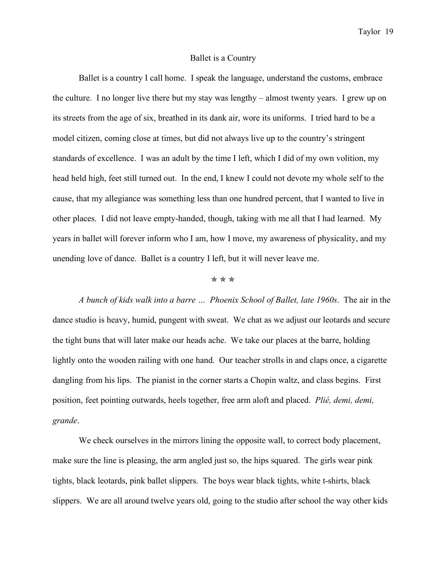## Ballet is a Country

Ballet is a country I call home. I speak the language, understand the customs, embrace the culture. I no longer live there but my stay was lengthy – almost twenty years. I grew up on its streets from the age of six, breathed in its dank air, wore its uniforms. I tried hard to be a model citizen, coming close at times, but did not always live up to the country's stringent standards of excellence. I was an adult by the time I left, which I did of my own volition, my head held high, feet still turned out. In the end, I knew I could not devote my whole self to the cause, that my allegiance was something less than one hundred percent, that I wanted to live in other places. I did not leave empty-handed, though, taking with me all that I had learned. My years in ballet will forever inform who I am, how I move, my awareness of physicality, and my unending love of dance. Ballet is a country I left, but it will never leave me.

#### ✯ ✯ ✯

*A bunch of kids walk into a barre … Phoenix School of Ballet, late 1960s*. The air in the dance studio is heavy, humid, pungent with sweat. We chat as we adjust our leotards and secure the tight buns that will later make our heads ache. We take our places at the barre, holding lightly onto the wooden railing with one hand. Our teacher strolls in and claps once, a cigarette dangling from his lips. The pianist in the corner starts a Chopin waltz, and class begins. First position, feet pointing outwards, heels together, free arm aloft and placed. *Plié, demi, demi, grande*.

We check ourselves in the mirrors lining the opposite wall, to correct body placement, make sure the line is pleasing, the arm angled just so, the hips squared. The girls wear pink tights, black leotards, pink ballet slippers. The boys wear black tights, white t-shirts, black slippers. We are all around twelve years old, going to the studio after school the way other kids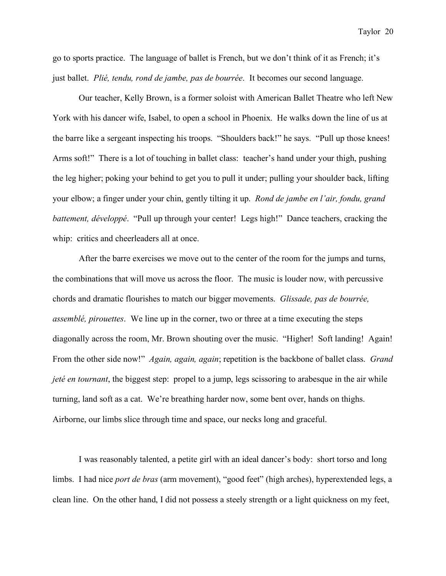go to sports practice. The language of ballet is French, but we don't think of it as French; it's just ballet. *Plié, tendu, rond de jambe, pas de bourrée*. It becomes our second language.

Our teacher, Kelly Brown, is a former soloist with American Ballet Theatre who left New York with his dancer wife, Isabel, to open a school in Phoenix. He walks down the line of us at the barre like a sergeant inspecting his troops. "Shoulders back!" he says. "Pull up those knees! Arms soft!" There is a lot of touching in ballet class: teacher's hand under your thigh, pushing the leg higher; poking your behind to get you to pull it under; pulling your shoulder back, lifting your elbow; a finger under your chin, gently tilting it up. *Rond de jambe en l'air, fondu, grand battement, développé*. "Pull up through your center! Legs high!" Dance teachers, cracking the whip: critics and cheerleaders all at once.

After the barre exercises we move out to the center of the room for the jumps and turns, the combinations that will move us across the floor. The music is louder now, with percussive chords and dramatic flourishes to match our bigger movements. *Glissade, pas de bourrée, assemblé, pirouettes*. We line up in the corner, two or three at a time executing the steps diagonally across the room, Mr. Brown shouting over the music. "Higher! Soft landing! Again! From the other side now!" *Again, again, again*; repetition is the backbone of ballet class. *Grand jeté en tournant*, the biggest step: propel to a jump, legs scissoring to arabesque in the air while turning, land soft as a cat. We're breathing harder now, some bent over, hands on thighs. Airborne, our limbs slice through time and space, our necks long and graceful.

I was reasonably talented, a petite girl with an ideal dancer's body: short torso and long limbs. I had nice *port de bras* (arm movement), "good feet" (high arches), hyperextended legs, a clean line. On the other hand, I did not possess a steely strength or a light quickness on my feet,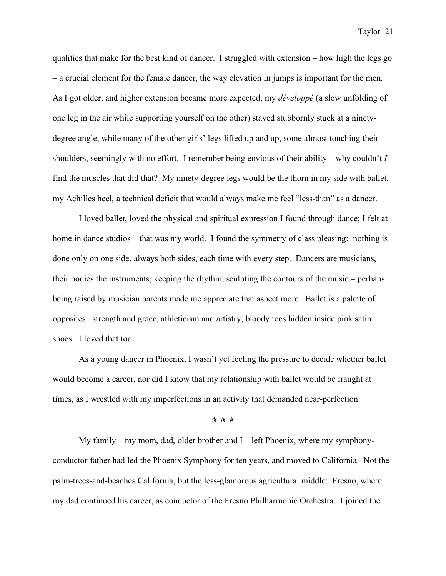qualities that make for the best kind of dancer. I struggled with extension – how high the legs go – a crucial element for the female dancer, the way elevation in jumps is important for the men. As I got older, and higher extension became more expected, my *développé* (a slow unfolding of one leg in the air while supporting yourself on the other) stayed stubbornly stuck at a ninetydegree angle, while many of the other girls' legs lifted up and up, some almost touching their shoulders, seemingly with no effort. I remember being envious of their ability – why couldn't *I* find the muscles that did that? My ninety-degree legs would be the thorn in my side with ballet, my Achilles heel, a technical deficit that would always make me feel "less-than" as a dancer.

I loved ballet, loved the physical and spiritual expression I found through dance; I felt at home in dance studios – that was my world. I found the symmetry of class pleasing: nothing is done only on one side, always both sides, each time with every step. Dancers are musicians, their bodies the instruments, keeping the rhythm, sculpting the contours of the music – perhaps being raised by musician parents made me appreciate that aspect more. Ballet is a palette of opposites: strength and grace, athleticism and artistry, bloody toes hidden inside pink satin shoes. I loved that too.

As a young dancer in Phoenix, I wasn't yet feeling the pressure to decide whether ballet would become a career, nor did I know that my relationship with ballet would be fraught at times, as I wrestled with my imperfections in an activity that demanded near-perfection.

#### ✯ ✯ ✯

My family – my mom, dad, older brother and  $I$  – left Phoenix, where my symphonyconductor father had led the Phoenix Symphony for ten years, and moved to California. Not the palm-trees-and-beaches California, but the less-glamorous agricultural middle: Fresno, where my dad continued his career, as conductor of the Fresno Philharmonic Orchestra. I joined the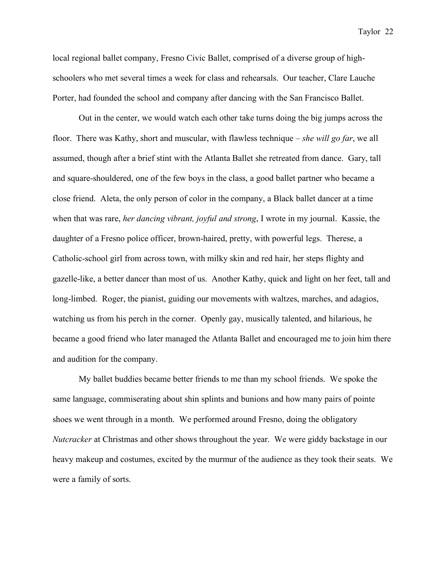local regional ballet company, Fresno Civic Ballet, comprised of a diverse group of highschoolers who met several times a week for class and rehearsals. Our teacher, Clare Lauche Porter, had founded the school and company after dancing with the San Francisco Ballet.

Out in the center, we would watch each other take turns doing the big jumps across the floor. There was Kathy, short and muscular, with flawless technique – *she will go far*, we all assumed, though after a brief stint with the Atlanta Ballet she retreated from dance. Gary, tall and square-shouldered, one of the few boys in the class, a good ballet partner who became a close friend. Aleta, the only person of color in the company, a Black ballet dancer at a time when that was rare, *her dancing vibrant, joyful and strong*, I wrote in my journal. Kassie, the daughter of a Fresno police officer, brown-haired, pretty, with powerful legs. Therese, a Catholic-school girl from across town, with milky skin and red hair, her steps flighty and gazelle-like, a better dancer than most of us. Another Kathy, quick and light on her feet, tall and long-limbed. Roger, the pianist, guiding our movements with waltzes, marches, and adagios, watching us from his perch in the corner. Openly gay, musically talented, and hilarious, he became a good friend who later managed the Atlanta Ballet and encouraged me to join him there and audition for the company.

My ballet buddies became better friends to me than my school friends. We spoke the same language, commiserating about shin splints and bunions and how many pairs of pointe shoes we went through in a month. We performed around Fresno, doing the obligatory *Nutcracker* at Christmas and other shows throughout the year. We were giddy backstage in our heavy makeup and costumes, excited by the murmur of the audience as they took their seats. We were a family of sorts.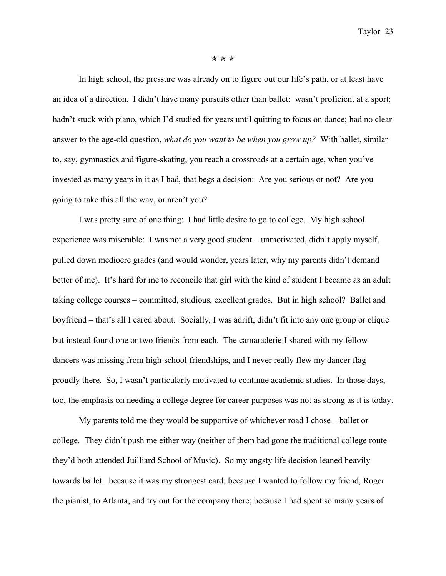#### ✯ ✯ ✯

In high school, the pressure was already on to figure out our life's path, or at least have an idea of a direction. I didn't have many pursuits other than ballet: wasn't proficient at a sport; hadn't stuck with piano, which I'd studied for years until quitting to focus on dance; had no clear answer to the age-old question, *what do you want to be when you grow up?* With ballet, similar to, say, gymnastics and figure-skating, you reach a crossroads at a certain age, when you've invested as many years in it as I had, that begs a decision: Are you serious or not? Are you going to take this all the way, or aren't you?

I was pretty sure of one thing: I had little desire to go to college. My high school experience was miserable: I was not a very good student – unmotivated, didn't apply myself, pulled down mediocre grades (and would wonder, years later, why my parents didn't demand better of me). It's hard for me to reconcile that girl with the kind of student I became as an adult taking college courses – committed, studious, excellent grades. But in high school? Ballet and boyfriend – that's all I cared about. Socially, I was adrift, didn't fit into any one group or clique but instead found one or two friends from each. The camaraderie I shared with my fellow dancers was missing from high-school friendships, and I never really flew my dancer flag proudly there. So, I wasn't particularly motivated to continue academic studies. In those days, too, the emphasis on needing a college degree for career purposes was not as strong as it is today.

My parents told me they would be supportive of whichever road I chose – ballet or college. They didn't push me either way (neither of them had gone the traditional college route – they'd both attended Juilliard School of Music). So my angsty life decision leaned heavily towards ballet: because it was my strongest card; because I wanted to follow my friend, Roger the pianist, to Atlanta, and try out for the company there; because I had spent so many years of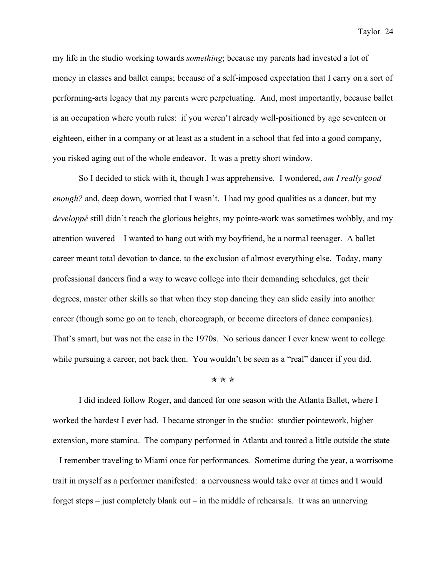my life in the studio working towards *something*; because my parents had invested a lot of money in classes and ballet camps; because of a self-imposed expectation that I carry on a sort of performing-arts legacy that my parents were perpetuating. And, most importantly, because ballet is an occupation where youth rules: if you weren't already well-positioned by age seventeen or eighteen, either in a company or at least as a student in a school that fed into a good company, you risked aging out of the whole endeavor. It was a pretty short window.

So I decided to stick with it, though I was apprehensive. I wondered, *am I really good enough?* and, deep down, worried that I wasn't. I had my good qualities as a dancer, but my *developpé* still didn't reach the glorious heights, my pointe-work was sometimes wobbly, and my attention wavered – I wanted to hang out with my boyfriend, be a normal teenager. A ballet career meant total devotion to dance, to the exclusion of almost everything else. Today, many professional dancers find a way to weave college into their demanding schedules, get their degrees, master other skills so that when they stop dancing they can slide easily into another career (though some go on to teach, choreograph, or become directors of dance companies). That's smart, but was not the case in the 1970s. No serious dancer I ever knew went to college while pursuing a career, not back then. You wouldn't be seen as a "real" dancer if you did.

#### ✯ ✯ ✯

I did indeed follow Roger, and danced for one season with the Atlanta Ballet, where I worked the hardest I ever had. I became stronger in the studio: sturdier pointework, higher extension, more stamina. The company performed in Atlanta and toured a little outside the state – I remember traveling to Miami once for performances. Sometime during the year, a worrisome trait in myself as a performer manifested: a nervousness would take over at times and I would forget steps – just completely blank out – in the middle of rehearsals. It was an unnerving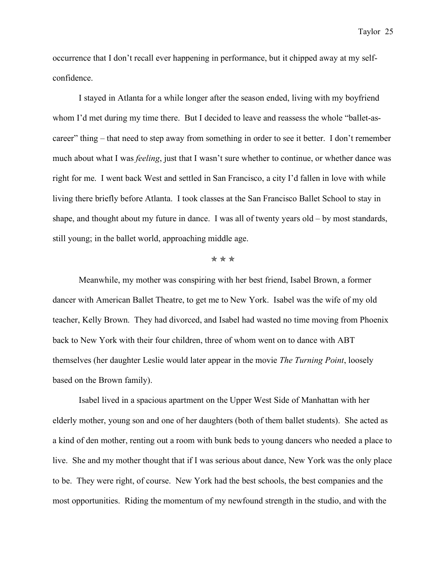occurrence that I don't recall ever happening in performance, but it chipped away at my selfconfidence.

I stayed in Atlanta for a while longer after the season ended, living with my boyfriend whom I'd met during my time there. But I decided to leave and reassess the whole "ballet-ascareer" thing – that need to step away from something in order to see it better. I don't remember much about what I was *feeling*, just that I wasn't sure whether to continue, or whether dance was right for me. I went back West and settled in San Francisco, a city I'd fallen in love with while living there briefly before Atlanta. I took classes at the San Francisco Ballet School to stay in shape, and thought about my future in dance. I was all of twenty years old – by most standards, still young; in the ballet world, approaching middle age.

#### ✯ ✯ ✯

Meanwhile, my mother was conspiring with her best friend, Isabel Brown, a former dancer with American Ballet Theatre, to get me to New York. Isabel was the wife of my old teacher, Kelly Brown. They had divorced, and Isabel had wasted no time moving from Phoenix back to New York with their four children, three of whom went on to dance with ABT themselves (her daughter Leslie would later appear in the movie *The Turning Point*, loosely based on the Brown family).

Isabel lived in a spacious apartment on the Upper West Side of Manhattan with her elderly mother, young son and one of her daughters (both of them ballet students). She acted as a kind of den mother, renting out a room with bunk beds to young dancers who needed a place to live. She and my mother thought that if I was serious about dance, New York was the only place to be. They were right, of course. New York had the best schools, the best companies and the most opportunities. Riding the momentum of my newfound strength in the studio, and with the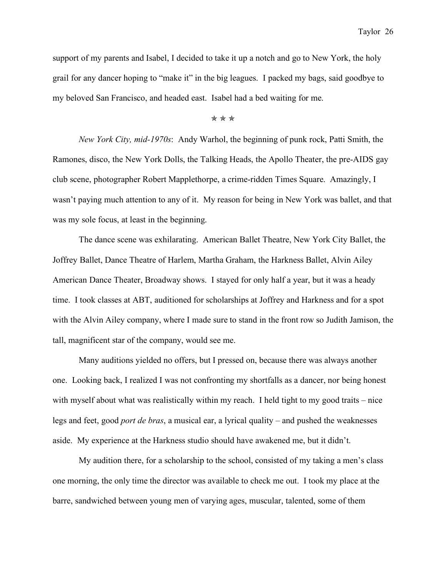support of my parents and Isabel, I decided to take it up a notch and go to New York, the holy grail for any dancer hoping to "make it" in the big leagues. I packed my bags, said goodbye to my beloved San Francisco, and headed east. Isabel had a bed waiting for me.

### ✯ ✯ ✯

*New York City, mid-1970s*: Andy Warhol, the beginning of punk rock, Patti Smith, the Ramones, disco, the New York Dolls, the Talking Heads, the Apollo Theater, the pre-AIDS gay club scene, photographer Robert Mapplethorpe, a crime-ridden Times Square. Amazingly, I wasn't paying much attention to any of it. My reason for being in New York was ballet, and that was my sole focus, at least in the beginning.

The dance scene was exhilarating. American Ballet Theatre, New York City Ballet, the Joffrey Ballet, Dance Theatre of Harlem, Martha Graham, the Harkness Ballet, Alvin Ailey American Dance Theater, Broadway shows. I stayed for only half a year, but it was a heady time. I took classes at ABT, auditioned for scholarships at Joffrey and Harkness and for a spot with the Alvin Ailey company, where I made sure to stand in the front row so Judith Jamison, the tall, magnificent star of the company, would see me.

Many auditions yielded no offers, but I pressed on, because there was always another one. Looking back, I realized I was not confronting my shortfalls as a dancer, nor being honest with myself about what was realistically within my reach. I held tight to my good traits – nice legs and feet, good *port de bras*, a musical ear, a lyrical quality – and pushed the weaknesses aside. My experience at the Harkness studio should have awakened me, but it didn't.

My audition there, for a scholarship to the school, consisted of my taking a men's class one morning, the only time the director was available to check me out. I took my place at the barre, sandwiched between young men of varying ages, muscular, talented, some of them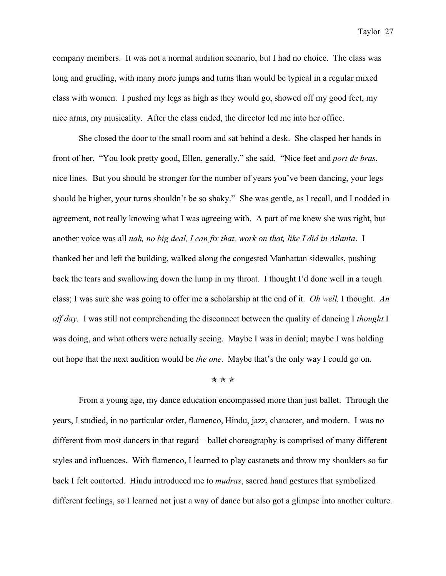company members. It was not a normal audition scenario, but I had no choice. The class was long and grueling, with many more jumps and turns than would be typical in a regular mixed class with women. I pushed my legs as high as they would go, showed off my good feet, my nice arms, my musicality. After the class ended, the director led me into her office.

She closed the door to the small room and sat behind a desk. She clasped her hands in front of her. "You look pretty good, Ellen, generally," she said. "Nice feet and *port de bras*, nice lines. But you should be stronger for the number of years you've been dancing, your legs should be higher, your turns shouldn't be so shaky." She was gentle, as I recall, and I nodded in agreement, not really knowing what I was agreeing with. A part of me knew she was right, but another voice was all *nah, no big deal, I can fix that, work on that, like I did in Atlanta*. I thanked her and left the building, walked along the congested Manhattan sidewalks, pushing back the tears and swallowing down the lump in my throat. I thought I'd done well in a tough class; I was sure she was going to offer me a scholarship at the end of it. *Oh well,* I thought. *An off day.* I was still not comprehending the disconnect between the quality of dancing I *thought* I was doing, and what others were actually seeing. Maybe I was in denial; maybe I was holding out hope that the next audition would be *the one*. Maybe that's the only way I could go on.

## ✯ ✯ ✯

From a young age, my dance education encompassed more than just ballet. Through the years, I studied, in no particular order, flamenco, Hindu, jazz, character, and modern. I was no different from most dancers in that regard – ballet choreography is comprised of many different styles and influences. With flamenco, I learned to play castanets and throw my shoulders so far back I felt contorted. Hindu introduced me to *mudras*, sacred hand gestures that symbolized different feelings, so I learned not just a way of dance but also got a glimpse into another culture.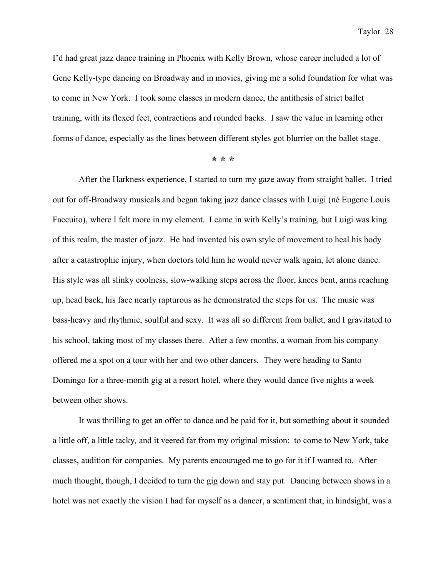I'd had great jazz dance training in Phoenix with Kelly Brown, whose career included a lot of Gene Kelly-type dancing on Broadway and in movies, giving me a solid foundation for what was to come in New York. I took some classes in modern dance, the antithesis of strict ballet training, with its flexed feet, contractions and rounded backs. I saw the value in learning other forms of dance, especially as the lines between different styles got blurrier on the ballet stage.

#### ✯ ✯ ✯

After the Harkness experience, I started to turn my gaze away from straight ballet. I tried out for off-Broadway musicals and began taking jazz dance classes with Luigi (né Eugene Louis Faccuito), where I felt more in my element. I came in with Kelly's training, but Luigi was king of this realm, the master of jazz. He had invented his own style of movement to heal his body after a catastrophic injury, when doctors told him he would never walk again, let alone dance. His style was all slinky coolness, slow-walking steps across the floor, knees bent, arms reaching up, head back, his face nearly rapturous as he demonstrated the steps for us. The music was bass-heavy and rhythmic, soulful and sexy. It was all so different from ballet, and I gravitated to his school, taking most of my classes there. After a few months, a woman from his company offered me a spot on a tour with her and two other dancers. They were heading to Santo Domingo for a three-month gig at a resort hotel, where they would dance five nights a week between other shows.

It was thrilling to get an offer to dance and be paid for it, but something about it sounded a little off, a little tacky*,* and it veered far from my original mission: to come to New York, take classes, audition for companies. My parents encouraged me to go for it if I wanted to. After much thought, though, I decided to turn the gig down and stay put. Dancing between shows in a hotel was not exactly the vision I had for myself as a dancer, a sentiment that, in hindsight, was a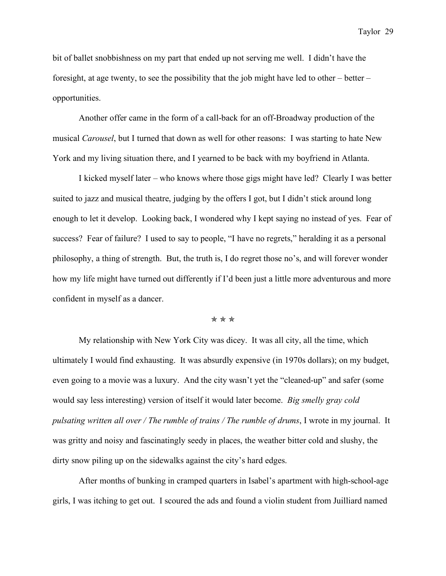bit of ballet snobbishness on my part that ended up not serving me well. I didn't have the foresight, at age twenty, to see the possibility that the job might have led to other – better – opportunities.

Another offer came in the form of a call-back for an off-Broadway production of the musical *Carousel*, but I turned that down as well for other reasons: I was starting to hate New York and my living situation there, and I yearned to be back with my boyfriend in Atlanta.

I kicked myself later – who knows where those gigs might have led? Clearly I was better suited to jazz and musical theatre, judging by the offers I got, but I didn't stick around long enough to let it develop. Looking back, I wondered why I kept saying no instead of yes. Fear of success? Fear of failure? I used to say to people, "I have no regrets," heralding it as a personal philosophy, a thing of strength. But, the truth is, I do regret those no's, and will forever wonder how my life might have turned out differently if I'd been just a little more adventurous and more confident in myself as a dancer.

#### ✯ ✯ ✯

My relationship with New York City was dicey. It was all city, all the time, which ultimately I would find exhausting. It was absurdly expensive (in 1970s dollars); on my budget, even going to a movie was a luxury. And the city wasn't yet the "cleaned-up" and safer (some would say less interesting) version of itself it would later become. *Big smelly gray cold pulsating written all over / The rumble of trains / The rumble of drums*, I wrote in my journal. It was gritty and noisy and fascinatingly seedy in places, the weather bitter cold and slushy, the dirty snow piling up on the sidewalks against the city's hard edges.

After months of bunking in cramped quarters in Isabel's apartment with high-school-age girls, I was itching to get out. I scoured the ads and found a violin student from Juilliard named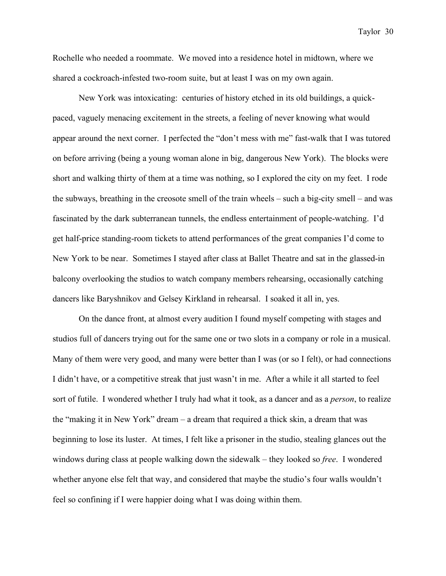Rochelle who needed a roommate. We moved into a residence hotel in midtown, where we shared a cockroach-infested two-room suite, but at least I was on my own again.

New York was intoxicating: centuries of history etched in its old buildings, a quickpaced, vaguely menacing excitement in the streets, a feeling of never knowing what would appear around the next corner. I perfected the "don't mess with me" fast-walk that I was tutored on before arriving (being a young woman alone in big, dangerous New York). The blocks were short and walking thirty of them at a time was nothing, so I explored the city on my feet. I rode the subways, breathing in the creosote smell of the train wheels – such a big-city smell – and was fascinated by the dark subterranean tunnels, the endless entertainment of people-watching. I'd get half-price standing-room tickets to attend performances of the great companies I'd come to New York to be near. Sometimes I stayed after class at Ballet Theatre and sat in the glassed-in balcony overlooking the studios to watch company members rehearsing, occasionally catching dancers like Baryshnikov and Gelsey Kirkland in rehearsal. I soaked it all in, yes.

On the dance front, at almost every audition I found myself competing with stages and studios full of dancers trying out for the same one or two slots in a company or role in a musical. Many of them were very good, and many were better than I was (or so I felt), or had connections I didn't have, or a competitive streak that just wasn't in me. After a while it all started to feel sort of futile. I wondered whether I truly had what it took, as a dancer and as a *person*, to realize the "making it in New York" dream – a dream that required a thick skin, a dream that was beginning to lose its luster. At times, I felt like a prisoner in the studio, stealing glances out the windows during class at people walking down the sidewalk – they looked so *free*. I wondered whether anyone else felt that way, and considered that maybe the studio's four walls wouldn't feel so confining if I were happier doing what I was doing within them.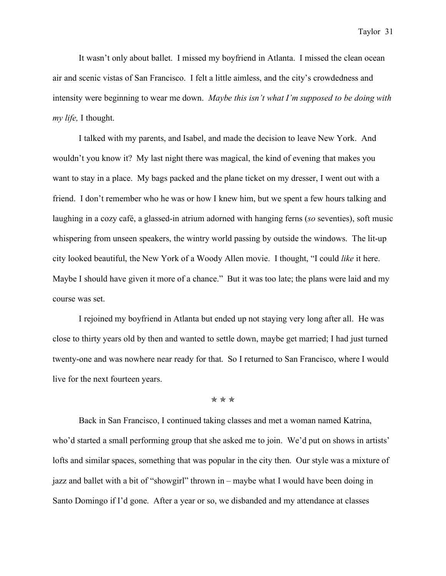It wasn't only about ballet. I missed my boyfriend in Atlanta. I missed the clean ocean air and scenic vistas of San Francisco. I felt a little aimless, and the city's crowdedness and intensity were beginning to wear me down. *Maybe this isn't what I'm supposed to be doing with my life,* I thought.

I talked with my parents, and Isabel, and made the decision to leave New York. And wouldn't you know it? My last night there was magical, the kind of evening that makes you want to stay in a place. My bags packed and the plane ticket on my dresser, I went out with a friend. I don't remember who he was or how I knew him, but we spent a few hours talking and laughing in a cozy café, a glassed-in atrium adorned with hanging ferns (*so* seventies), soft music whispering from unseen speakers, the wintry world passing by outside the windows. The lit-up city looked beautiful, the New York of a Woody Allen movie. I thought, "I could *like* it here. Maybe I should have given it more of a chance." But it was too late; the plans were laid and my course was set.

I rejoined my boyfriend in Atlanta but ended up not staying very long after all. He was close to thirty years old by then and wanted to settle down, maybe get married; I had just turned twenty-one and was nowhere near ready for that. So I returned to San Francisco, where I would live for the next fourteen years.

✯ ✯ ✯

Back in San Francisco, I continued taking classes and met a woman named Katrina, who'd started a small performing group that she asked me to join. We'd put on shows in artists' lofts and similar spaces, something that was popular in the city then. Our style was a mixture of jazz and ballet with a bit of "showgirl" thrown in – maybe what I would have been doing in Santo Domingo if I'd gone. After a year or so, we disbanded and my attendance at classes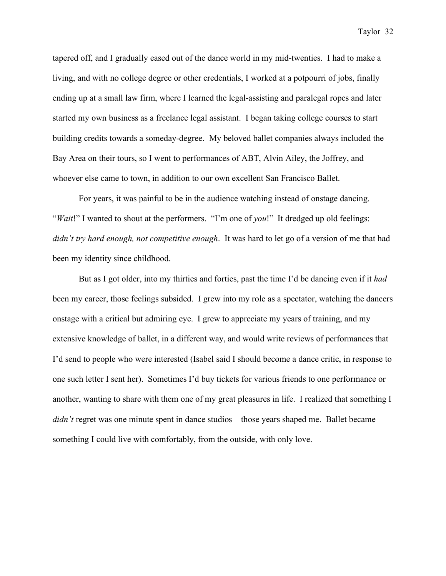tapered off, and I gradually eased out of the dance world in my mid-twenties. I had to make a living, and with no college degree or other credentials, I worked at a potpourri of jobs, finally ending up at a small law firm, where I learned the legal-assisting and paralegal ropes and later started my own business as a freelance legal assistant. I began taking college courses to start building credits towards a someday-degree. My beloved ballet companies always included the Bay Area on their tours, so I went to performances of ABT, Alvin Ailey, the Joffrey, and whoever else came to town, in addition to our own excellent San Francisco Ballet.

For years, it was painful to be in the audience watching instead of onstage dancing. "*Wait*!" I wanted to shout at the performers."I'm one of *you*!"It dredged up old feelings: *didn't try hard enough, not competitive enough*. It was hard to let go of a version of me that had been my identity since childhood.

But as I got older, into my thirties and forties, past the time I'd be dancing even if it *had*  been my career, those feelings subsided. I grew into my role as a spectator, watching the dancers onstage with a critical but admiring eye. I grew to appreciate my years of training, and my extensive knowledge of ballet, in a different way, and would write reviews of performances that I'd send to people who were interested (Isabel said I should become a dance critic, in response to one such letter I sent her). Sometimes I'd buy tickets for various friends to one performance or another, wanting to share with them one of my great pleasures in life. I realized that something I *didn't* regret was one minute spent in dance studios – those years shaped me. Ballet became something I could live with comfortably, from the outside, with only love.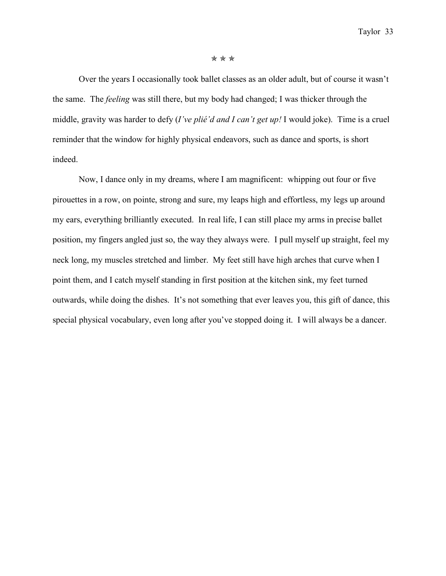#### ✯ ✯ ✯

Over the years I occasionally took ballet classes as an older adult, but of course it wasn't the same. The *feeling* was still there, but my body had changed; I was thicker through the middle, gravity was harder to defy (*I've plié'd and I can't get up!* I would joke). Time is a cruel reminder that the window for highly physical endeavors, such as dance and sports, is short indeed.

Now, I dance only in my dreams, where I am magnificent: whipping out four or five pirouettes in a row, on pointe, strong and sure, my leaps high and effortless, my legs up around my ears, everything brilliantly executed. In real life, I can still place my arms in precise ballet position, my fingers angled just so, the way they always were. I pull myself up straight, feel my neck long, my muscles stretched and limber. My feet still have high arches that curve when I point them, and I catch myself standing in first position at the kitchen sink, my feet turned outwards, while doing the dishes. It's not something that ever leaves you, this gift of dance, this special physical vocabulary, even long after you've stopped doing it. I will always be a dancer.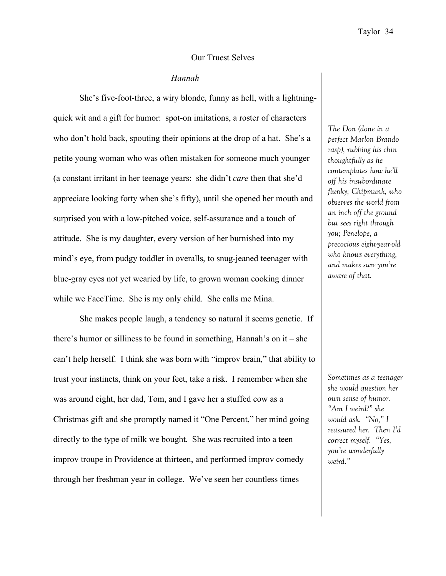#### Our Truest Selves

#### *Hannah*

She's five-foot-three, a wiry blonde, funny as hell, with a lightningquick wit and a gift for humor: spot-on imitations, a roster of characters who don't hold back, spouting their opinions at the drop of a hat. She's a petite young woman who was often mistaken for someone much younger (a constant irritant in her teenage years: she didn't *care* then that she'd appreciate looking forty when she's fifty), until she opened her mouth and surprised you with a low-pitched voice, self-assurance and a touch of attitude. She is my daughter, every version of her burnished into my mind's eye, from pudgy toddler in overalls, to snug-jeaned teenager with blue-gray eyes not yet wearied by life, to grown woman cooking dinner while we FaceTime. She is my only child. She calls me Mina.

She makes people laugh, a tendency so natural it seems genetic. If there's humor or silliness to be found in something, Hannah's on it – she can't help herself. I think she was born with "improv brain," that ability to trust your instincts, think on your feet, take a risk. I remember when she was around eight, her dad, Tom, and I gave her a stuffed cow as a Christmas gift and she promptly named it "One Percent," her mind going directly to the type of milk we bought. She was recruited into a teen improv troupe in Providence at thirteen, and performed improv comedy through her freshman year in college. We've seen her countless times

*The Don (done in a perfect Marlon Brando rasp), rubbing his chin thoughtfully as he contemplates how he'll off his insubordinate flunky; Chipmunk, who observes the world from an inch off the ground but sees right through you; Penelope, a precocious eight-year-old who knows everything, and makes sure you're aware of that.* 

*Sometimes as a teenager she would question her own sense of humor. "Am I weird?" she would ask. "No," I reassured her. Then I'd correct myself. "Yes, you're wonderfully weird."*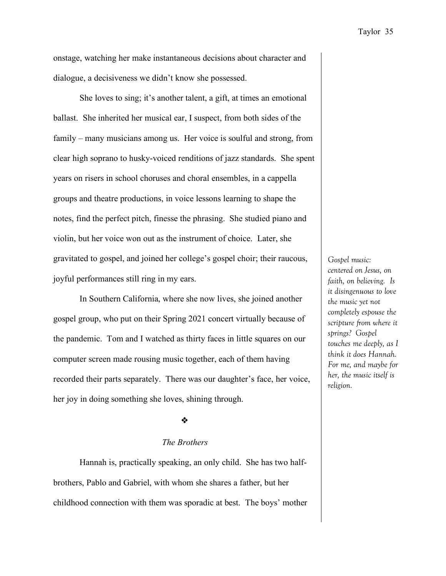onstage, watching her make instantaneous decisions about character and dialogue, a decisiveness we didn't know she possessed.

She loves to sing; it's another talent, a gift, at times an emotional ballast. She inherited her musical ear, I suspect, from both sides of the family – many musicians among us. Her voice is soulful and strong, from clear high soprano to husky-voiced renditions of jazz standards. She spent years on risers in school choruses and choral ensembles, in a cappella groups and theatre productions, in voice lessons learning to shape the notes, find the perfect pitch, finesse the phrasing. She studied piano and violin, but her voice won out as the instrument of choice. Later, she gravitated to gospel, and joined her college's gospel choir; their raucous, joyful performances still ring in my ears.

In Southern California, where she now lives, she joined another gospel group, who put on their Spring 2021 concert virtually because of the pandemic. Tom and I watched as thirty faces in little squares on our computer screen made rousing music together, each of them having recorded their parts separately. There was our daughter's face, her voice, her joy in doing something she loves, shining through.

#### ❖

## *The Brothers*

Hannah is, practically speaking, an only child. She has two halfbrothers, Pablo and Gabriel, with whom she shares a father, but her childhood connection with them was sporadic at best. The boys' mother

*Gospel music: centered on Jesus, on faith, on believing. Is it disingenuous to love the music yet not completely espouse the scripture from where it springs? Gospel touches me deeply, as I think it does Hannah. For me, and maybe for her, the music itself is religion.*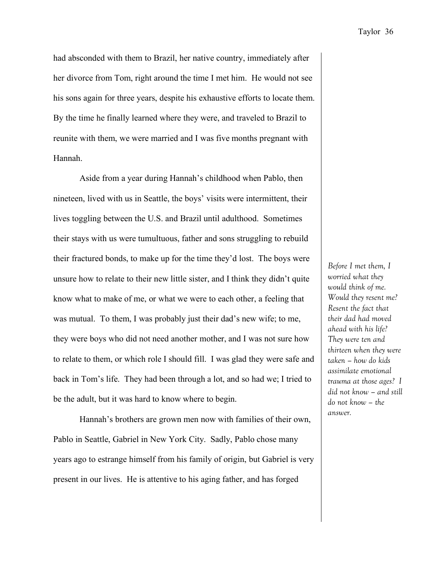had absconded with them to Brazil, her native country, immediately after her divorce from Tom, right around the time I met him. He would not see his sons again for three years, despite his exhaustive efforts to locate them. By the time he finally learned where they were, and traveled to Brazil to reunite with them, we were married and I was five months pregnant with Hannah.

Aside from a year during Hannah's childhood when Pablo, then nineteen, lived with us in Seattle, the boys' visits were intermittent, their lives toggling between the U.S. and Brazil until adulthood. Sometimes their stays with us were tumultuous, father and sons struggling to rebuild their fractured bonds, to make up for the time they'd lost. The boys were unsure how to relate to their new little sister, and I think they didn't quite know what to make of me, or what we were to each other, a feeling that was mutual. To them, I was probably just their dad's new wife; to me, they were boys who did not need another mother, and I was not sure how to relate to them, or which role I should fill. I was glad they were safe and back in Tom's life. They had been through a lot, and so had we; I tried to be the adult, but it was hard to know where to begin.

Hannah's brothers are grown men now with families of their own, Pablo in Seattle, Gabriel in New York City. Sadly, Pablo chose many years ago to estrange himself from his family of origin, but Gabriel is very present in our lives. He is attentive to his aging father, and has forged

*Before I met them, I worried what they would think of me. Would they resent me? Resent the fact that their dad had moved ahead with his life? They were ten and thirteen when they were taken – how do kids assimilate emotional trauma at those ages? I did not know – and still do not know – the answer.*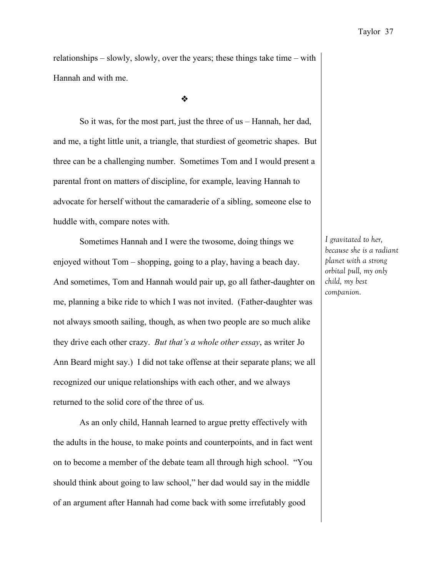relationships – slowly, slowly, over the years; these things take time – with Hannah and with me.

❖

So it was, for the most part, just the three of us – Hannah, her dad, and me, a tight little unit, a triangle, that sturdiest of geometric shapes. But three can be a challenging number. Sometimes Tom and I would present a parental front on matters of discipline, for example, leaving Hannah to advocate for herself without the camaraderie of a sibling, someone else to huddle with, compare notes with.

Sometimes Hannah and I were the twosome, doing things we enjoyed without Tom – shopping, going to a play, having a beach day. And sometimes, Tom and Hannah would pair up, go all father-daughter on me, planning a bike ride to which I was not invited. (Father-daughter was not always smooth sailing, though, as when two people are so much alike they drive each other crazy. *But that's a whole other essay*, as writer Jo Ann Beard might say.) I did not take offense at their separate plans; we all recognized our unique relationships with each other, and we always returned to the solid core of the three of us.

As an only child, Hannah learned to argue pretty effectively with the adults in the house, to make points and counterpoints, and in fact went on to become a member of the debate team all through high school. "You should think about going to law school," her dad would say in the middle of an argument after Hannah had come back with some irrefutably good

*I gravitated to her, because she is a radiant planet with a strong orbital pull, my only child, my best companion.*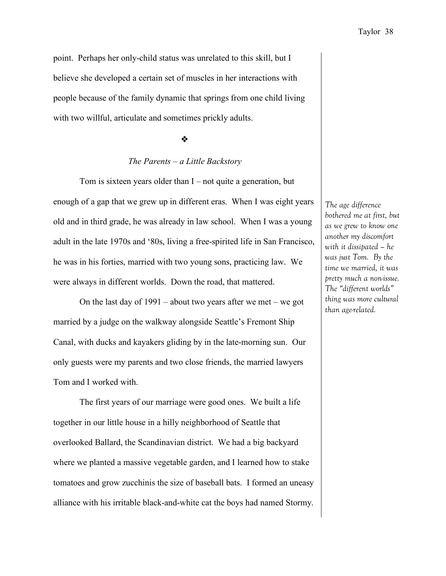point. Perhaps her only-child status was unrelated to this skill, but I believe she developed a certain set of muscles in her interactions with people because of the family dynamic that springs from one child living with two willful, articulate and sometimes prickly adults.

#### ❖

## *The Parents – a Little Backstory*

Tom is sixteen years older than I – not quite a generation, but enough of a gap that we grew up in different eras. When I was eight years old and in third grade, he was already in law school. When I was a young adult in the late 1970s and '80s, living a free-spirited life in San Francisco, he was in his forties, married with two young sons, practicing law. We were always in different worlds. Down the road, that mattered.

On the last day of  $1991$  – about two years after we met – we got married by a judge on the walkway alongside Seattle's Fremont Ship Canal, with ducks and kayakers gliding by in the late-morning sun. Our only guests were my parents and two close friends, the married lawyers Tom and I worked with.

The first years of our marriage were good ones. We built a life together in our little house in a hilly neighborhood of Seattle that overlooked Ballard, the Scandinavian district. We had a big backyard where we planted a massive vegetable garden, and I learned how to stake tomatoes and grow zucchinis the size of baseball bats. I formed an uneasy alliance with his irritable black-and-white cat the boys had named Stormy.

*The age difference bothered me at first, but as we grew to know one another my discomfort with it dissipated – he was just Tom. By the time we married, it was pretty much a non-issue. The "different worlds" thing was more cultural than age-related.*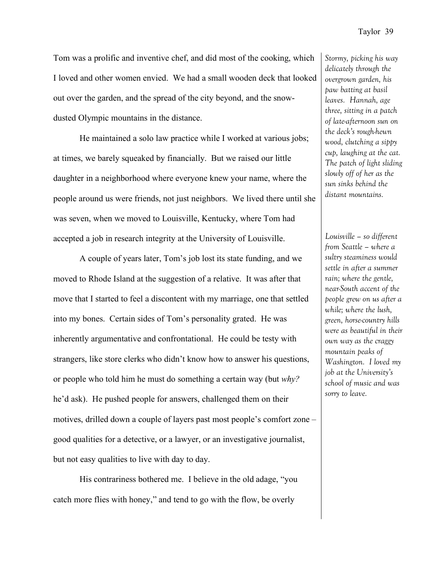Tom was a prolific and inventive chef, and did most of the cooking, which I loved and other women envied. We had a small wooden deck that looked out over the garden, and the spread of the city beyond, and the snowdusted Olympic mountains in the distance.

He maintained a solo law practice while I worked at various jobs; at times, we barely squeaked by financially. But we raised our little daughter in a neighborhood where everyone knew your name, where the people around us were friends, not just neighbors. We lived there until she was seven, when we moved to Louisville, Kentucky, where Tom had accepted a job in research integrity at the University of Louisville.

A couple of years later, Tom's job lost its state funding, and we moved to Rhode Island at the suggestion of a relative. It was after that move that I started to feel a discontent with my marriage, one that settled into my bones. Certain sides of Tom's personality grated. He was inherently argumentative and confrontational. He could be testy with strangers, like store clerks who didn't know how to answer his questions, or people who told him he must do something a certain way (but *why?*  he'd ask). He pushed people for answers, challenged them on their motives, drilled down a couple of layers past most people's comfort zone – good qualities for a detective, or a lawyer, or an investigative journalist, but not easy qualities to live with day to day.

His contrariness bothered me. I believe in the old adage, "you catch more flies with honey," and tend to go with the flow, be overly

*Stormy, picking his way delicately through the overgrown garden, his paw batting at basil leaves. Hannah, age three, sitting in a patch of late-afternoon sun on the deck's rough-hewn wood, clutching a sippy cup, laughing at the cat. The patch of light sliding slowly off of her as the sun sinks behind the distant mountains.*

*Louisville – so different from Seattle – where a sultry steaminess would settle in after a summer rain; where the gentle, near-South accent of the people grew on us after a while; where the lush, green, horse-country hills were as beautiful in their own way as the craggy mountain peaks of Washington. I loved my job at the University's school of music and was sorry to leave.*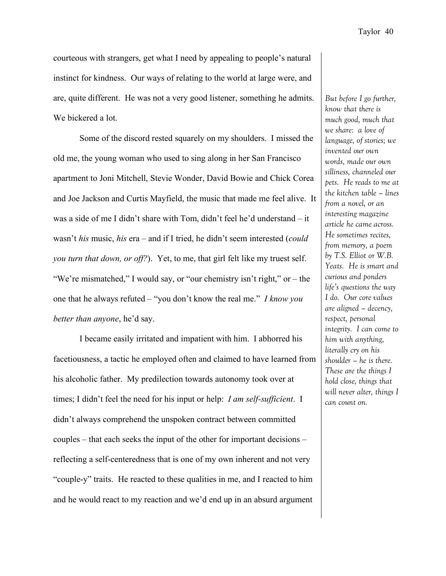courteous with strangers, get what I need by appealing to people's natural instinct for kindness. Our ways of relating to the world at large were, and are, quite different. He was not a very good listener, something he admits. We bickered a lot.

Some of the discord rested squarely on my shoulders. I missed the old me, the young woman who used to sing along in her San Francisco apartment to Joni Mitchell, Stevie Wonder, David Bowie and Chick Corea and Joe Jackson and Curtis Mayfield, the music that made me feel alive. It was a side of me I didn't share with Tom, didn't feel he'd understand – it wasn't *his* music, *his* era – and if I tried, he didn't seem interested (*could you turn that down, or off?*). Yet, to me, that girl felt like my truest self. "We're mismatched," I would say, or "our chemistry isn't right," or – the one that he always refuted – "you don't know the real me." *I know you better than anyone*, he'd say.

I became easily irritated and impatient with him. I abhorred his facetiousness, a tactic he employed often and claimed to have learned from his alcoholic father. My predilection towards autonomy took over at times; I didn't feel the need for his input or help: *I am self-sufficient*. I didn't always comprehend the unspoken contract between committed couples – that each seeks the input of the other for important decisions – reflecting a self-centeredness that is one of my own inherent and not very "couple-y" traits. He reacted to these qualities in me, and I reacted to him and he would react to my reaction and we'd end up in an absurd argument

*But before I go further, know that there is much good, much that we share: a love of language, of stories; we invented our own words, made our own silliness, channeled our pets. He reads to me at the kitchen table – lines from a novel, or an interesting magazine article he came across. He sometimes recites, from memory, a poem by T.S. Elliot or W.B. Yeats. He is smart and curious and ponders life's questions the way I do. Our core values are aligned – decency, respect, personal integrity. I can come to him with anything, literally cry on his shoulder – he is there. These are the things I hold close, things that will never alter, things I can count on.*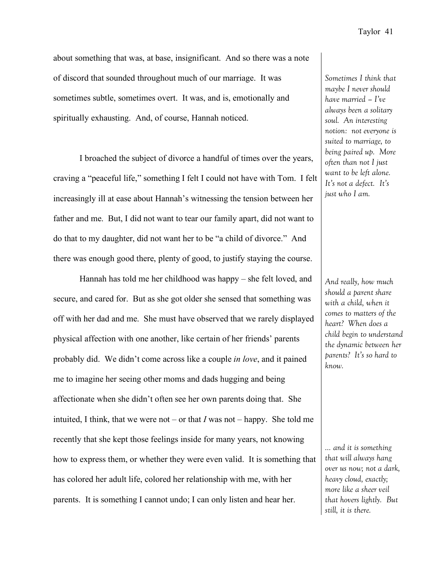about something that was, at base, insignificant. And so there was a note of discord that sounded throughout much of our marriage. It was sometimes subtle, sometimes overt. It was, and is, emotionally and spiritually exhausting. And, of course, Hannah noticed.

I broached the subject of divorce a handful of times over the years, craving a "peaceful life," something I felt I could not have with Tom. I felt increasingly ill at ease about Hannah's witnessing the tension between her father and me. But, I did not want to tear our family apart, did not want to do that to my daughter, did not want her to be "a child of divorce." And there was enough good there, plenty of good, to justify staying the course.

Hannah has told me her childhood was happy – she felt loved, and secure, and cared for. But as she got older she sensed that something was off with her dad and me. She must have observed that we rarely displayed physical affection with one another, like certain of her friends' parents probably did. We didn't come across like a couple *in love*, and it pained me to imagine her seeing other moms and dads hugging and being affectionate when she didn't often see her own parents doing that. She intuited, I think, that we were not – or that *I* was not – happy. She told me recently that she kept those feelings inside for many years, not knowing how to express them, or whether they were even valid. It is something that has colored her adult life, colored her relationship with me, with her parents. It is something I cannot undo; I can only listen and hear her.

*Sometimes I think that maybe I never should have married – I've always been a solitary soul. An interesting notion: not everyone is suited to marriage, to being paired up. More often than not I just want to be left alone. It's not a defect. It's just who I am.*

*And really, how much should a parent share with a child, when it comes to matters of the heart? When does a child begin to understand the dynamic between her parents? It's so hard to know.*

*… and it is something that will always hang over us now; not a dark, heavy cloud, exactly; more like a sheer veil that hovers lightly. But still, it is there.*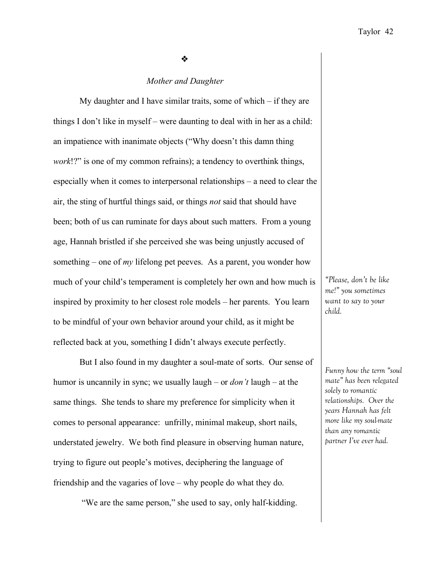❖

#### *Mother and Daughter*

My daughter and I have similar traits, some of which – if they are things I don't like in myself – were daunting to deal with in her as a child: an impatience with inanimate objects ("Why doesn't this damn thing *work*!?" is one of my common refrains); a tendency to overthink things, especially when it comes to interpersonal relationships – a need to clear the air, the sting of hurtful things said, or things *not* said that should have been; both of us can ruminate for days about such matters. From a young age, Hannah bristled if she perceived she was being unjustly accused of something – one of *my* lifelong pet peeves. As a parent, you wonder how much of your child's temperament is completely her own and how much is inspired by proximity to her closest role models – her parents. You learn to be mindful of your own behavior around your child, as it might be reflected back at you, something I didn't always execute perfectly.

But I also found in my daughter a soul-mate of sorts. Our sense of humor is uncannily in sync; we usually laugh – or *don't* laugh – at the same things. She tends to share my preference for simplicity when it comes to personal appearance: unfrilly, minimal makeup, short nails, understated jewelry. We both find pleasure in observing human nature, trying to figure out people's motives, deciphering the language of friendship and the vagaries of love – why people do what they do.

"We are the same person," she used to say, only half-kidding.

*"Please, don't be like me!" you sometimes want to say to your child.* 

*Funny how the term "soul mate" has been relegated solely to romantic relationships. Over the years Hannah has felt more like my soul-mate than any romantic partner I've ever had.*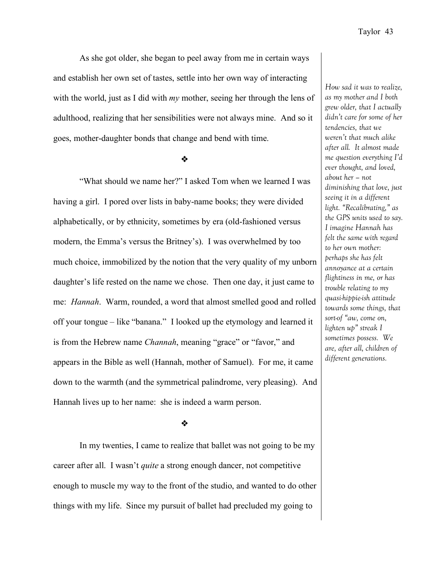*How sad it was to realize,* 

As she got older, she began to peel away from me in certain ways and establish her own set of tastes, settle into her own way of interacting with the world, just as I did with *my* mother, seeing her through the lens of adulthood, realizing that her sensibilities were not always mine. And so it goes, mother-daughter bonds that change and bend with time.

❖

"What should we name her?" I asked Tom when we learned I was having a girl. I pored over lists in baby-name books; they were divided alphabetically, or by ethnicity, sometimes by era (old-fashioned versus modern, the Emma's versus the Britney's). I was overwhelmed by too much choice, immobilized by the notion that the very quality of my unborn daughter's life rested on the name we chose. Then one day, it just came to me: *Hannah*. Warm, rounded, a word that almost smelled good and rolled off your tongue – like "banana." I looked up the etymology and learned it is from the Hebrew name *Channah*, meaning "grace" or "favor," and appears in the Bible as well (Hannah, mother of Samuel). For me, it came down to the warmth (and the symmetrical palindrome, very pleasing). And Hannah lives up to her name: she is indeed a warm person.

*as my mother and I both grew older, that I actually didn't care for some of her tendencies, that we weren't that much alike after all. It almost made me question everything I'd ever thought, and loved, about her – not diminishing that love, just seeing it in a different light. "Recalibrating," as the GPS units used to say. I imagine Hannah has felt the same with regard to her own mother: perhaps she has felt annoyance at a certain flightiness in me, or has trouble relating to my quasi-hippie-ish attitude towards some things, that sort-of "aw, come on, lighten up" streak I sometimes possess. We are, after all, children of different generations.* 

#### ❖

In my twenties, I came to realize that ballet was not going to be my career after all. I wasn't *quite* a strong enough dancer, not competitive enough to muscle my way to the front of the studio, and wanted to do other things with my life. Since my pursuit of ballet had precluded my going to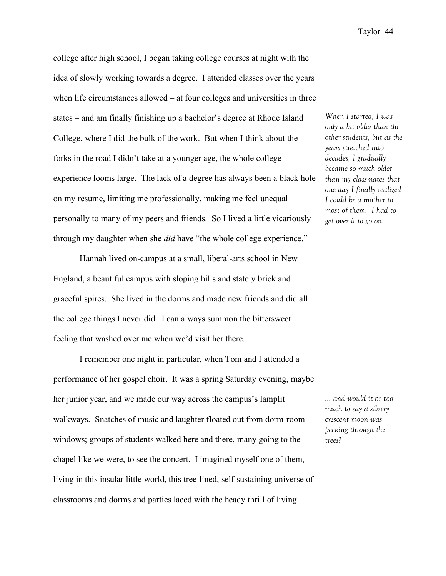college after high school, I began taking college courses at night with the idea of slowly working towards a degree. I attended classes over the years when life circumstances allowed – at four colleges and universities in three states – and am finally finishing up a bachelor's degree at Rhode Island College, where I did the bulk of the work. But when I think about the forks in the road I didn't take at a younger age, the whole college experience looms large. The lack of a degree has always been a black hole on my resume, limiting me professionally, making me feel unequal personally to many of my peers and friends. So I lived a little vicariously through my daughter when she *did* have "the whole college experience."

Hannah lived on-campus at a small, liberal-arts school in New England, a beautiful campus with sloping hills and stately brick and graceful spires. She lived in the dorms and made new friends and did all the college things I never did. I can always summon the bittersweet feeling that washed over me when we'd visit her there.

I remember one night in particular, when Tom and I attended a performance of her gospel choir. It was a spring Saturday evening, maybe her junior year, and we made our way across the campus's lamplit walkways. Snatches of music and laughter floated out from dorm-room windows; groups of students walked here and there, many going to the chapel like we were, to see the concert. I imagined myself one of them, living in this insular little world, this tree-lined, self-sustaining universe of classrooms and dorms and parties laced with the heady thrill of living

*When I started, I was only a bit older than the other students, but as the years stretched into decades, I gradually became so much older than my classmates that one day I finally realized I could be a mother to most of them. I had to get over it to go on.*

*… and would it be too much to say a silvery crescent moon was peeking through the trees?*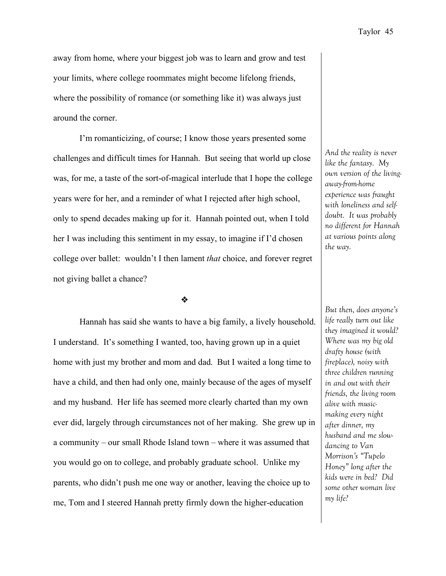away from home, where your biggest job was to learn and grow and test your limits, where college roommates might become lifelong friends, where the possibility of romance (or something like it) was always just around the corner.

I'm romanticizing, of course; I know those years presented some challenges and difficult times for Hannah. But seeing that world up close was, for me, a taste of the sort-of-magical interlude that I hope the college years were for her, and a reminder of what I rejected after high school, only to spend decades making up for it. Hannah pointed out, when I told her I was including this sentiment in my essay, to imagine if I'd chosen college over ballet: wouldn't I then lament *that* choice, and forever regret not giving ballet a chance?

❖

Hannah has said she wants to have a big family, a lively household. I understand. It's something I wanted, too, having grown up in a quiet home with just my brother and mom and dad. But I waited a long time to have a child, and then had only one, mainly because of the ages of myself and my husband. Her life has seemed more clearly charted than my own ever did, largely through circumstances not of her making. She grew up in a community – our small Rhode Island town – where it was assumed that you would go on to college, and probably graduate school. Unlike my parents, who didn't push me one way or another, leaving the choice up to me, Tom and I steered Hannah pretty firmly down the higher-education

*And the reality is never like the fantasy. My own version of the livingaway-from-home experience was fraught with loneliness and selfdoubt. It was probably no different for Hannah at various points along the way.*

*But then, does anyone's life really turn out like they imagined it would? Where was my big old drafty house (with fireplace), noisy with three children running in and out with their friends, the living room alive with musicmaking every night after dinner, my husband and me slowdancing to Van Morrison's "Tupelo Honey" long after the kids were in bed? Did some other woman live my life?*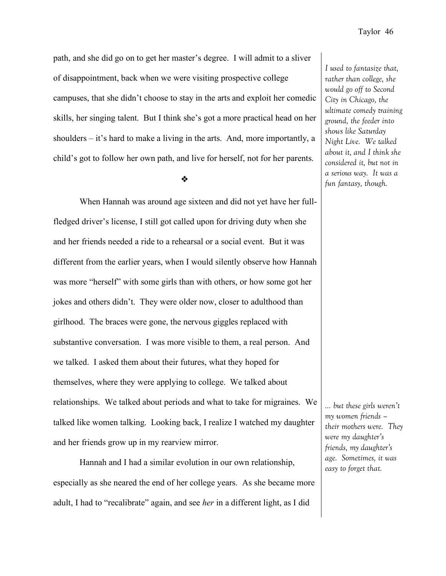path, and she did go on to get her master's degree. I will admit to a sliver of disappointment, back when we were visiting prospective college campuses, that she didn't choose to stay in the arts and exploit her comedic skills, her singing talent. But I think she's got a more practical head on her shoulders – it's hard to make a living in the arts. And, more importantly, a child's got to follow her own path, and live for herself, not for her parents.

❖

When Hannah was around age sixteen and did not yet have her fullfledged driver's license, I still got called upon for driving duty when she and her friends needed a ride to a rehearsal or a social event. But it was different from the earlier years, when I would silently observe how Hannah was more "herself" with some girls than with others, or how some got her jokes and others didn't. They were older now, closer to adulthood than girlhood. The braces were gone, the nervous giggles replaced with substantive conversation. I was more visible to them, a real person. And we talked. I asked them about their futures, what they hoped for themselves, where they were applying to college. We talked about relationships. We talked about periods and what to take for migraines. We talked like women talking. Looking back, I realize I watched my daughter and her friends grow up in my rearview mirror.

Hannah and I had a similar evolution in our own relationship, especially as she neared the end of her college years. As she became more adult, I had to "recalibrate" again, and see *her* in a different light, as I did

*I used to fantasize that, rather than college, she would go off to Second City in Chicago, the ultimate comedy training ground, the feeder into shows like Saturday Night Live. We talked about it, and I think she considered it, but not in a serious way. It was a fun fantasy, though.* 

*… but these girls weren't my women friends – their mothers were. They were my daughter's friends, my daughter's age. Sometimes, it was easy to forget that.*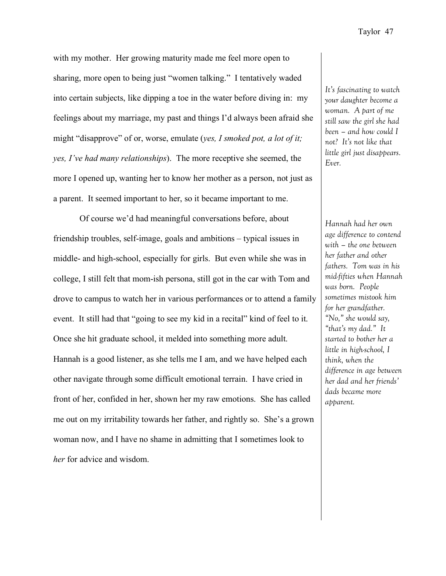with my mother. Her growing maturity made me feel more open to sharing, more open to being just "women talking." I tentatively waded into certain subjects, like dipping a toe in the water before diving in: my feelings about my marriage, my past and things I'd always been afraid she might "disapprove" of or, worse, emulate (*yes, I smoked pot, a lot of it; yes, I've had many relationships*). The more receptive she seemed, the more I opened up, wanting her to know her mother as a person, not just as a parent. It seemed important to her, so it became important to me.

Of course we'd had meaningful conversations before, about friendship troubles, self-image, goals and ambitions – typical issues in middle- and high-school, especially for girls. But even while she was in college, I still felt that mom-ish persona, still got in the car with Tom and drove to campus to watch her in various performances or to attend a family event. It still had that "going to see my kid in a recital" kind of feel to it. Once she hit graduate school, it melded into something more adult. Hannah is a good listener, as she tells me I am, and we have helped each other navigate through some difficult emotional terrain. I have cried in front of her, confided in her, shown her my raw emotions. She has called me out on my irritability towards her father, and rightly so. She's a grown woman now, and I have no shame in admitting that I sometimes look to *her* for advice and wisdom.

*It's fascinating to watch your daughter become a woman. A part of me still saw the girl she had been – and how could I not? It's not like that little girl just disappears. Ever.*

*Hannah had her own age difference to contend with – the one between her father and other fathers. Tom was in his mid-fifties when Hannah was born. People sometimes mistook him for her grandfather. "No," she would say, "that's my dad." It started to bother her a little in high-school, I think, when the difference in age between her dad and her friends' dads became more apparent.*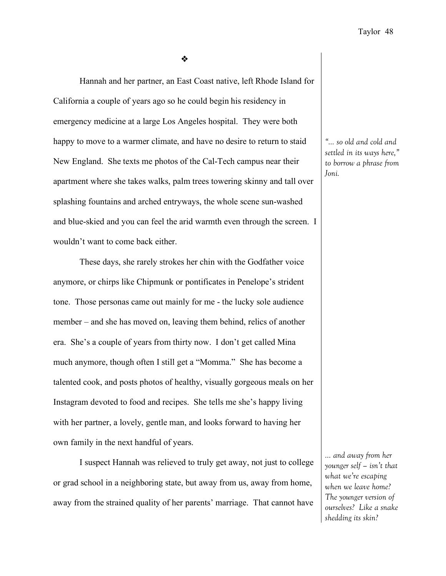❖

Hannah and her partner, an East Coast native, left Rhode Island for California a couple of years ago so he could begin his residency in emergency medicine at a large Los Angeles hospital. They were both happy to move to a warmer climate, and have no desire to return to staid New England. She texts me photos of the Cal-Tech campus near their apartment where she takes walks, palm trees towering skinny and tall over splashing fountains and arched entryways, the whole scene sun-washed and blue-skied and you can feel the arid warmth even through the screen. I wouldn't want to come back either.

These days, she rarely strokes her chin with the Godfather voice anymore, or chirps like Chipmunk or pontificates in Penelope's strident tone. Those personas came out mainly for me - the lucky sole audience member – and she has moved on, leaving them behind, relics of another era. She's a couple of years from thirty now. I don't get called Mina much anymore, though often I still get a "Momma." She has become a talented cook, and posts photos of healthy, visually gorgeous meals on her Instagram devoted to food and recipes. She tells me she's happy living with her partner, a lovely, gentle man, and looks forward to having her own family in the next handful of years.

I suspect Hannah was relieved to truly get away, not just to college or grad school in a neighboring state, but away from us, away from home, away from the strained quality of her parents' marriage. That cannot have

*"… so old and cold and settled in its ways here," to borrow a phrase from Joni.* 

*… and away from her younger self – isn't that what we're escaping when we leave home? The younger version of ourselves? Like a snake shedding its skin?*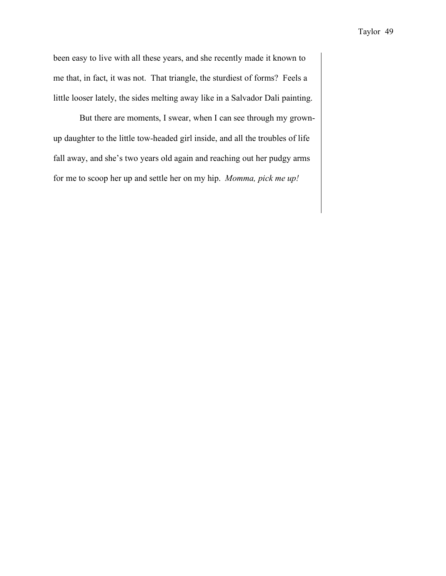been easy to live with all these years, and she recently made it known to me that, in fact, it was not. That triangle, the sturdiest of forms? Feels a little looser lately, the sides melting away like in a Salvador Dali painting.

But there are moments, I swear, when I can see through my grownup daughter to the little tow-headed girl inside, and all the troubles of life fall away, and she's two years old again and reaching out her pudgy arms for me to scoop her up and settle her on my hip. *Momma, pick me up!*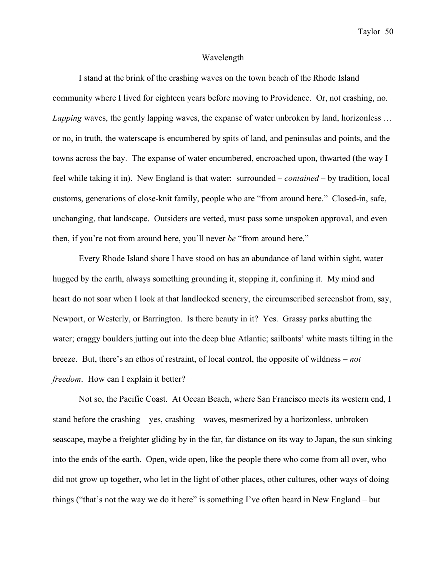#### Wavelength

I stand at the brink of the crashing waves on the town beach of the Rhode Island community where I lived for eighteen years before moving to Providence. Or, not crashing, no. *Lapping* waves, the gently lapping waves, the expanse of water unbroken by land, horizonless ... or no, in truth, the waterscape is encumbered by spits of land, and peninsulas and points, and the towns across the bay. The expanse of water encumbered, encroached upon, thwarted (the way I feel while taking it in). New England is that water: surrounded – *contained* – by tradition, local customs, generations of close-knit family, people who are "from around here." Closed-in, safe, unchanging, that landscape. Outsiders are vetted, must pass some unspoken approval, and even then, if you're not from around here, you'll never *be* "from around here."

Every Rhode Island shore I have stood on has an abundance of land within sight, water hugged by the earth, always something grounding it, stopping it, confining it. My mind and heart do not soar when I look at that landlocked scenery, the circumscribed screenshot from, say, Newport, or Westerly, or Barrington. Is there beauty in it? Yes. Grassy parks abutting the water; craggy boulders jutting out into the deep blue Atlantic; sailboats' white masts tilting in the breeze. But, there's an ethos of restraint, of local control, the opposite of wildness – *not freedom*. How can I explain it better?

Not so, the Pacific Coast. At Ocean Beach, where San Francisco meets its western end, I stand before the crashing – yes, crashing – waves, mesmerized by a horizonless, unbroken seascape, maybe a freighter gliding by in the far, far distance on its way to Japan, the sun sinking into the ends of the earth. Open, wide open, like the people there who come from all over, who did not grow up together, who let in the light of other places, other cultures, other ways of doing things ("that's not the way we do it here" is something I've often heard in New England – but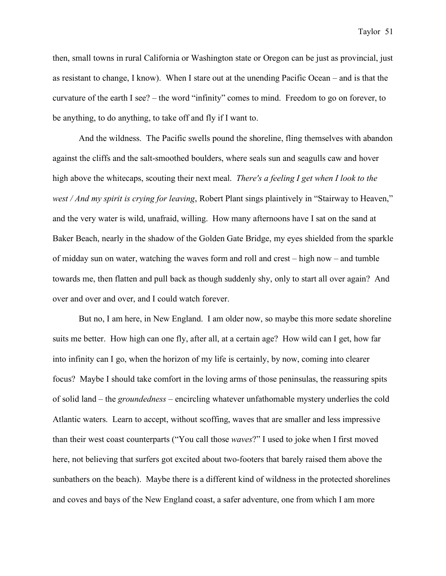then, small towns in rural California or Washington state or Oregon can be just as provincial, just as resistant to change, I know). When I stare out at the unending Pacific Ocean – and is that the curvature of the earth I see? – the word "infinity" comes to mind. Freedom to go on forever, to be anything, to do anything, to take off and fly if I want to.

And the wildness. The Pacific swells pound the shoreline, fling themselves with abandon against the cliffs and the salt-smoothed boulders, where seals sun and seagulls caw and hover high above the whitecaps, scouting their next meal. *There's a feeling I get when I look to the west / And my spirit is crying for leaving*, Robert Plant sings plaintively in "Stairway to Heaven," and the very water is wild, unafraid, willing. How many afternoons have I sat on the sand at Baker Beach, nearly in the shadow of the Golden Gate Bridge, my eyes shielded from the sparkle of midday sun on water, watching the waves form and roll and crest – high now – and tumble towards me, then flatten and pull back as though suddenly shy, only to start all over again? And over and over and over, and I could watch forever.

But no, I am here, in New England. I am older now, so maybe this more sedate shoreline suits me better. How high can one fly, after all, at a certain age? How wild can I get, how far into infinity can I go, when the horizon of my life is certainly, by now, coming into clearer focus? Maybe I should take comfort in the loving arms of those peninsulas, the reassuring spits of solid land – the *groundedness* – encircling whatever unfathomable mystery underlies the cold Atlantic waters. Learn to accept, without scoffing, waves that are smaller and less impressive than their west coast counterparts ("You call those *waves*?" I used to joke when I first moved here, not believing that surfers got excited about two-footers that barely raised them above the sunbathers on the beach). Maybe there is a different kind of wildness in the protected shorelines and coves and bays of the New England coast, a safer adventure, one from which I am more